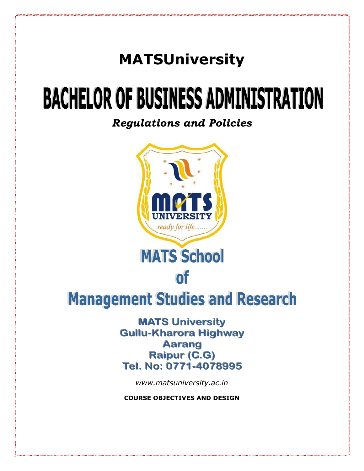# **MATSUniversity**

# **BACHELOR OF BUSINESS ADMINISTRATION**

*Regulations and Policies*



**MATS University Gullu-Kharora Highway Aarang Raipur (C.G)** Tel. No: 0771-4078995

*www.matsuniversity.ac.in*

**COURSE OBJECTIVES AND DESIGN**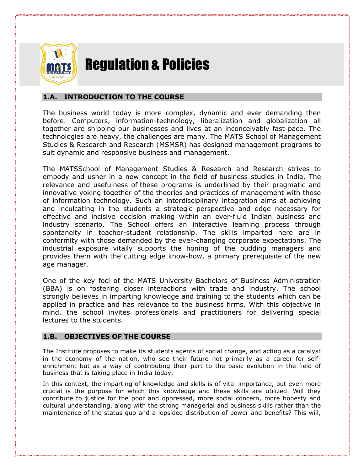

# Regulation & Policies

# **1.A. INTRODUCTION TO THE COURSE**

The business world today is more complex, dynamic and ever demanding then before. Computers, information-technology, liberalization and globalization all together are shipping our businesses and lives at an inconceivably fast pace. The technologies are heavy, the challenges are many. The MATS School of Management Studies & Research and Research (MSMSR) has designed management programs to suit dynamic and responsive business and management.

The MATSSchool of Management Studies & Research and Research strives to embody and usher in a new concept in the field of business studies in India. The relevance and usefulness of these programs is underlined by their pragmatic and innovative yoking together of the theories and practices of management with those of information technology. Such an interdisciplinary integration aims at achieving and inculcating in the students a strategic perspective and edge necessary for effective and incisive decision making within an ever-fluid Indian business and industry scenario. The School offers an interactive learning process through spontaneity in teacher-student relationship. The skills imparted here are in conformity with those demanded by the ever-changing corporate expectations. The industrial exposure vitally supports the honing of the budding managers and provides them with the cutting edge know-how, a primary prerequisite of the new age manager.

One of the key foci of the MATS University Bachelors of Business Administration (BBA) is on fostering closer interactions with trade and industry. The school strongly believes in imparting knowledge and training to the students which can be applied in practice and has relevance to the business firms. With this objective in mind, the school invites professionals and practitioners for delivering special lectures to the students.

# **1.B. OBJECTIVES OF THE COURSE**

The Institute proposes to make its students agents of social change, and acting as a catalyst in the economy of the nation, who see their future not primarily as a career for selfenrichment but as a way of contributing their part to the basic evolution in the field of business that is taking place in India today.

In this context, the imparting of knowledge and skills is of vital importance, but even more crucial is the purpose for which this knowledge and these skills are utilized. Will they contribute to justice for the poor and oppressed, more social concern, more honesty and cultural understanding, along with the strong managerial and business skills rather than the maintenance of the status quo and a lopsided distribution of power and benefits? This will,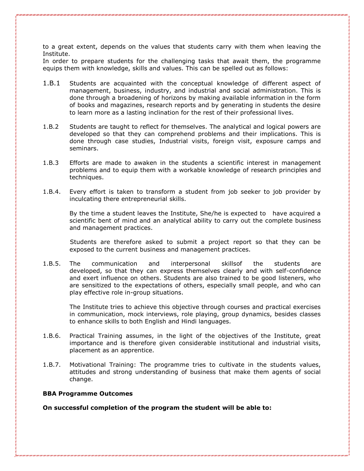to a great extent, depends on the values that students carry with them when leaving the Institute.

In order to prepare students for the challenging tasks that await them, the programme equips them with knowledge, skills and values. This can be spelled out as follows:

- 1.B.1 Students are acquainted with the conceptual knowledge of different aspect of management, business, industry, and industrial and social administration. This is done through a broadening of horizons by making available information in the form of books and magazines, research reports and by generating in students the desire to learn more as a lasting inclination for the rest of their professional lives.
- 1.B.2 Students are taught to reflect for themselves. The analytical and logical powers are developed so that they can comprehend problems and their implications. This is done through case studies, Industrial visits, foreign visit, exposure camps and seminars.
- 1.B.3 Efforts are made to awaken in the students a scientific interest in management problems and to equip them with a workable knowledge of research principles and techniques.
- 1.B.4. Every effort is taken to transform a student from job seeker to job provider by inculcating there entrepreneurial skills.

By the time a student leaves the Institute, She/he is expected to have acquired a scientific bent of mind and an analytical ability to carry out the complete business and management practices.

Students are therefore asked to submit a project report so that they can be exposed to the current business and management practices.

1.B.5. The communication and interpersonal skillsof the students are developed, so that they can express themselves clearly and with self-confidence and exert influence on others. Students are also trained to be good listeners, who are sensitized to the expectations of others, especially small people, and who can play effective role in-group situations.

The Institute tries to achieve this objective through courses and practical exercises in communication, mock interviews, role playing, group dynamics, besides classes to enhance skills to both English and Hindi languages.

- 1.B.6. Practical Training assumes, in the light of the objectives of the Institute, great importance and is therefore given considerable institutional and industrial visits, placement as an apprentice.
- 1.B.7. Motivational Training: The programme tries to cultivate in the students values, attitudes and strong understanding of business that make them agents of social change.

#### **BBA Programme Outcomes**

**On successful completion of the program the student will be able to:**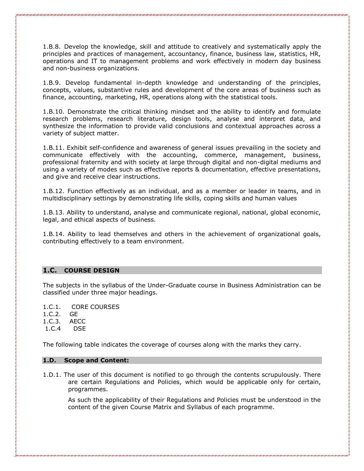1.B.8. Develop the knowledge, skill and attitude to creatively and systematically apply the principles and practices of management, accountancy, finance, business law, statistics, HR, operations and IT to management problems and work effectively in modern day business and non-business organizations.

1.B.9. Develop fundamental in-depth knowledge and understanding of the principles, concepts, values, substantive rules and development of the core areas of business such as finance, accounting, marketing, HR, operations along with the statistical tools.

1.B.10. Demonstrate the critical thinking mindset and the ability to identify and formulate research problems, research literature, design tools, analyse and interpret data, and synthesize the information to provide valid conclusions and contextual approaches across a variety of subject matter.

1.B.11. Exhibit self-confidence and awareness of general issues prevailing in the society and communicate effectively with the accounting, commerce, management, business, professional fraternity and with society at large through digital and non-digital mediums and using a variety of modes such as effective reports & documentation, effective presentations, and give and receive clear instructions.

1.B.12. Function effectively as an individual, and as a member or leader in teams, and in multidisciplinary settings by demonstrating life skills, coping skills and human values

1.B.13. Ability to understand, analyse and communicate regional, national, global economic, legal, and ethical aspects of business.

1.B.14. Ability to lead themselves and others in the achievement of organizational goals, contributing effectively to a team environment.

# **1.C. COURSE DESIGN**

The subjects in the syllabus of the Under-Graduate course in Business Administration can be classified under three major headings.

1.C.1. CORE COURSES

1.C.2. GE

1.C.3. AECC

1.C.4 DSE

The following table indicates the coverage of courses along with the marks they carry.

#### **1.D. Scope and Content:**

1.D.1. The user of this document is notified to go through the contents scrupulously. There are certain Regulations and Policies, which would be applicable only for certain, programmes.

As such the applicability of their Regulations and Policies must be understood in the content of the given Course Matrix and Syllabus of each programme.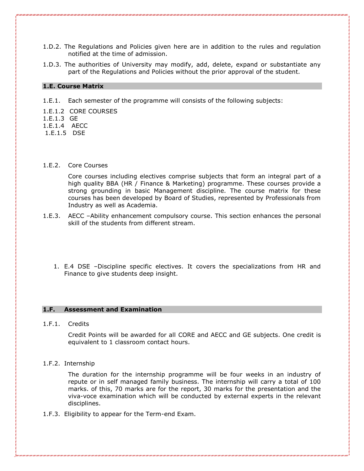- 1.D.2. The Regulations and Policies given here are in addition to the rules and regulation notified at the time of admission.
- 1.D.3. The authorities of University may modify, add, delete, expand or substantiate any part of the Regulations and Policies without the prior approval of the student.

#### **1.E. Course Matrix**

1.E.1. Each semester of the programme will consists of the following subjects:

1.E.1.2 CORE COURSES

1.E.1.3 GE

1.E.1.4 AECC

1.E.1.5 DSE

#### 1.E.2. Core Courses

Core courses including electives comprise subjects that form an integral part of a high quality BBA (HR / Finance & Marketing) programme. These courses provide a strong grounding in basic Management discipline. The course matrix for these courses has been developed by Board of Studies, represented by Professionals from Industry as well as Academia.

- 1.E.3. AECC –Ability enhancement compulsory course. This section enhances the personal skill of the students from different stream.
	- 1. E.4 DSE –Discipline specific electives. It covers the specializations from HR and Finance to give students deep insight.

#### **1.F. Assessment and Examination**

1.F.1. Credits

Credit Points will be awarded for all CORE and AECC and GE subjects. One credit is equivalent to 1 classroom contact hours.

#### 1.F.2. Internship

The duration for the internship programme will be four weeks in an industry of repute or in self managed family business. The internship will carry a total of 100 marks. of this, 70 marks are for the report, 30 marks for the presentation and the viva-voce examination which will be conducted by external experts in the relevant disciplines.

1.F.3. Eligibility to appear for the Term-end Exam.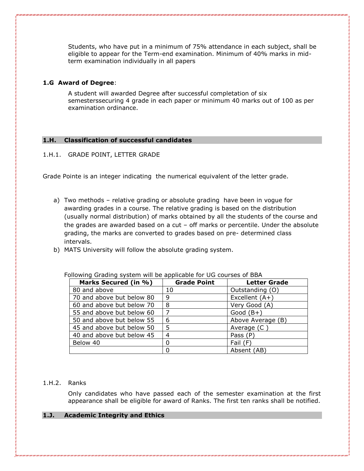Students, who have put in a minimum of 75% attendance in each subject, shall be eligible to appear for the Term-end examination. Minimum of 40% marks in midterm examination individually in all papers

# **1.G Award of Degree**:

A student will awarded Degree after successful completation of six semesterssecuring 4 grade in each paper or minimum 40 marks out of 100 as per examination ordinance.

#### **1.H. Classification of successful candidates**

# 1.H.1. GRADE POINT, LETTER GRADE

Grade Pointe is an integer indicating the numerical equivalent of the letter grade.

- a) Two methods relative grading or absolute grading have been in vogue for awarding grades in a course. The relative grading is based on the distribution (usually normal distribution) of marks obtained by all the students of the course and the grades are awarded based on a cut – off marks or percentile. Under the absolute grading, the marks are converted to grades based on pre- determined class intervals.
- b) MATS University will follow the absolute grading system.

| Marks Secured (in %)      | <b>Grade Point</b> | <b>Letter Grade</b> |
|---------------------------|--------------------|---------------------|
| 80 and above              | 10                 | Outstanding (O)     |
| 70 and above but below 80 | 9                  | Excellent (A+)      |
| 60 and above but below 70 | 8                  | Very Good (A)       |
| 55 and above but below 60 | $\overline{7}$     | Good $(B+)$         |
| 50 and above but below 55 | 6                  | Above Average (B)   |
| 45 and above but below 50 | 5                  | Average (C          |
| 40 and above but below 45 | 4                  | Pass (P)            |
| Below 40                  | 0                  | Fail (F)            |
|                           | 0                  | Absent (AB)         |

Following Grading system will be applicable for UG courses of BBA

# 1.H.2. Ranks

Only candidates who have passed each of the semester examination at the first appearance shall be eligible for award of Ranks. The first ten ranks shall be notified.

#### **1.J. Academic Integrity and Ethics**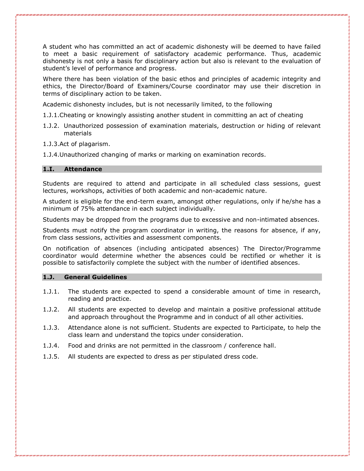A student who has committed an act of academic dishonesty will be deemed to have failed to meet a basic requirement of satisfactory academic performance. Thus, academic dishonesty is not only a basis for disciplinary action but also is relevant to the evaluation of student's level of performance and progress.

Where there has been violation of the basic ethos and principles of academic integrity and ethics, the Director/Board of Examiners/Course coordinator may use their discretion in terms of disciplinary action to be taken.

Academic dishonesty includes, but is not necessarily limited, to the following

1.J.1.Cheating or knowingly assisting another student in committing an act of cheating

- 1.J.2. Unauthorized possession of examination materials, destruction or hiding of relevant materials
- 1.J.3.Act of plagarism.
- 1.J.4.Unauthorized changing of marks or marking on examination records.

# **1.I. Attendance**

Students are required to attend and participate in all scheduled class sessions, guest lectures, workshops, activities of both academic and non-academic nature.

A student is eligible for the end-term exam, amongst other regulations, only if he/she has a minimum of 75% attendance in each subject individually.

Students may be dropped from the programs due to excessive and non-intimated absences.

Students must notify the program coordinator in writing, the reasons for absence, if any, from class sessions, activities and assessment components.

On notification of absences (including anticipated absences) The Director/Programme coordinator would determine whether the absences could be rectified or whether it is possible to satisfactorily complete the subject with the number of identified absences.

#### **1.J. General Guidelines**

- 1.J.1. The students are expected to spend a considerable amount of time in research, reading and practice.
- 1.J.2. All students are expected to develop and maintain a positive professional attitude and approach throughout the Programme and in conduct of all other activities.
- 1.J.3. Attendance alone is not sufficient. Students are expected to Participate, to help the class learn and understand the topics under consideration.
- 1.J.4. Food and drinks are not permitted in the classroom / conference hall.
- 1.J.5. All students are expected to dress as per stipulated dress code.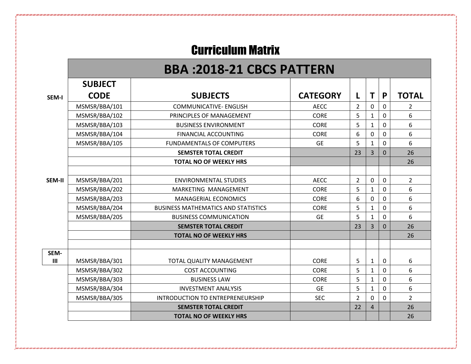# Curriculum Matrix

# **BBA :2018-21 CBCS PATTERN**

|                | <b>SUBJECT</b> |                                            |                 |                |              |                |                |
|----------------|----------------|--------------------------------------------|-----------------|----------------|--------------|----------------|----------------|
| <b>SEM-I</b>   | <b>CODE</b>    | <b>SUBJECTS</b>                            | <b>CATEGORY</b> | L              | Τ            | P              | <b>TOTAL</b>   |
|                | MSMSR/BBA/101  | <b>COMMUNICATIVE- ENGLISH</b>              | <b>AECC</b>     | $\overline{2}$ | 0            | 0              | $\overline{2}$ |
|                | MSMSR/BBA/102  | PRINCIPLES OF MANAGEMENT                   | <b>CORE</b>     | 5              |              | $\Omega$       | 6              |
|                | MSMSR/BBA/103  | <b>BUSINESS ENVIRONMENT</b>                | <b>CORE</b>     | 5              | 1            | $\mathbf 0$    | 6              |
|                | MSMSR/BBA/104  | FINANCIAL ACCOUNTING                       | <b>CORE</b>     | 6              | $\Omega$     | $\Omega$       | 6              |
|                | MSMSR/BBA/105  | <b>FUNDAMENTALS OF COMPUTERS</b>           | <b>GE</b>       | 5              | 1            | 0              | 6              |
|                |                | <b>SEMSTER TOTAL CREDIT</b>                |                 | 23             | 3            | $\overline{0}$ | 26             |
|                |                | <b>TOTAL NO OF WEEKLY HRS</b>              |                 |                |              |                | 26             |
|                |                |                                            |                 |                |              |                |                |
| SEM-II         | MSMSR/BBA/201  | <b>ENVIRONMENTAL STUDIES</b>               | <b>AECC</b>     | $\overline{2}$ | $\mathbf 0$  | $\mathbf 0$    | $\overline{2}$ |
|                | MSMSR/BBA/202  | MARKETING MANAGEMENT                       | <b>CORE</b>     | 5              | 1            | 0              | 6              |
|                | MSMSR/BBA/203  | <b>MANAGERIAL ECONOMICS</b>                | <b>CORE</b>     | 6              | $\mathbf 0$  | $\mathbf 0$    | 6              |
|                | MSMSR/BBA/204  | <b>BUSINESS MATHEMATICS AND STATISTICS</b> | <b>CORE</b>     | 5              | 1            | 0              | 6              |
|                | MSMSR/BBA/205  | <b>BUSINESS COMMUNICATION</b>              | <b>GE</b>       | 5              | $\mathbf{1}$ | $\mathbf 0$    | 6              |
|                |                | <b>SEMSTER TOTAL CREDIT</b>                |                 | 23             | 3            | $\mathbf{0}$   | 26             |
|                |                | <b>TOTAL NO OF WEEKLY HRS</b>              |                 |                |              |                | 26             |
|                |                |                                            |                 |                |              |                |                |
| SEM-           |                |                                            |                 |                |              |                |                |
| $\mathbf{III}$ | MSMSR/BBA/301  | TOTAL QUALITY MANAGEMENT                   | <b>CORE</b>     | 5              | 1            | $\mathbf 0$    | 6              |
|                | MSMSR/BBA/302  | <b>COST ACCOUNTING</b>                     | <b>CORE</b>     | 5              | $\mathbf{1}$ | 0              | 6              |
|                | MSMSR/BBA/303  | <b>BUSINESS LAW</b>                        | <b>CORE</b>     | 5              | $\mathbf 1$  | $\mathbf 0$    | 6              |
|                | MSMSR/BBA/304  | <b>INVESTMENT ANALYSIS</b>                 | <b>GE</b>       | 5              | $\mathbf{1}$ | $\mathbf 0$    | 6              |
|                | MSMSR/BBA/305  | <b>INTRODUCTION TO ENTREPRENEURSHIP</b>    | <b>SEC</b>      | $\overline{2}$ | $\mathbf 0$  | $\mathbf 0$    | $\overline{2}$ |
|                |                | <b>SEMSTER TOTAL CREDIT</b>                |                 | 22             | 4            |                | 26             |
|                |                | <b>TOTAL NO OF WEEKLY HRS</b>              |                 |                |              |                | 26             |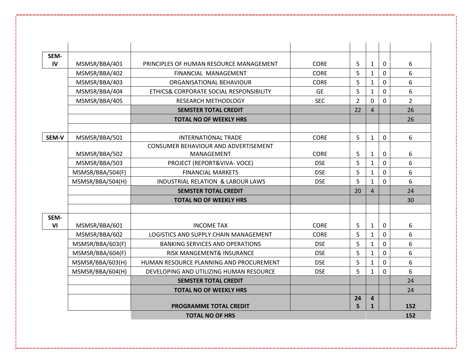| SEM-  |                  |                                              |             |                |                |             |                |
|-------|------------------|----------------------------------------------|-------------|----------------|----------------|-------------|----------------|
| IV    | MSMSR/BBA/401    | PRINCIPLES OF HUMAN RESOURCE MANAGEMENT      | <b>CORE</b> | 5              | $\mathbf{1}$   | 0           | 6              |
|       | MSMSR/BBA/402    | FINANCIAL MANAGEMENT                         | <b>CORE</b> | 5              | $\mathbf{1}$   | $\mathbf 0$ | 6              |
|       | MSMSR/BBA/403    | ORGANISATIONAL BEHAVIOUR                     | <b>CORE</b> | 5              | $\mathbf{1}$   | 0           | 6              |
|       | MSMSR/BBA/404    | ETHICS& CORPORATE SOCIAL RESPONSIBILITY      | <b>GE</b>   | 5              | $\mathbf{1}$   | $\mathbf 0$ | 6              |
|       | MSMSR/BBA/405    | <b>RESEARCH METHODLOGY</b>                   | <b>SEC</b>  | $\overline{2}$ | $\mathbf 0$    | $\mathbf 0$ | $\overline{2}$ |
|       |                  | <b>SEMSTER TOTAL CREDIT</b>                  |             | 22             | $\overline{4}$ |             | 26             |
|       |                  | <b>TOTAL NO OF WEEKLY HRS</b>                |             |                |                |             | 26             |
|       |                  |                                              |             |                |                |             |                |
| SEM-V | MSMSR/BBA/501    | <b>INTERNATIONAL TRADE</b>                   | <b>CORE</b> | 5              | $\mathbf{1}$   | $\mathbf 0$ | 6              |
|       |                  | CONSUMER BEHAVIOUR AND ADVERTISEMENT         |             |                |                |             |                |
|       | MSMSR/BBA/502    | MANAGEMENT                                   | <b>CORE</b> | 5              | $\mathbf{1}$   | 0           | 6              |
|       | MSMSR/BBA/503    | PROJECT (REPORT&VIVA-VOCE)                   | <b>DSE</b>  | 5              | $\mathbf{1}$   | $\mathbf 0$ | 6              |
|       | MSMSR/BBA/504(F) | <b>FINANCIAL MARKETS</b>                     | <b>DSE</b>  | 5              | $\mathbf{1}$   | $\mathbf 0$ | 6              |
|       | MSMSR/BBA/504(H) | <b>INDUSTRIAL RELATION &amp; LABOUR LAWS</b> | <b>DSE</b>  | 5              | $\mathbf{1}$   | $\mathbf 0$ | 6              |
|       |                  | <b>SEMSTER TOTAL CREDIT</b>                  |             | 20             | $\overline{4}$ |             | 24             |
|       |                  | <b>TOTAL NO OF WEEKLY HRS</b>                |             |                |                |             | 30             |
|       |                  |                                              |             |                |                |             |                |
| SEM-  |                  |                                              |             |                |                |             |                |
| VI    | MSMSR/BBA/601    | <b>INCOME TAX</b>                            | <b>CORE</b> | 5              | $\mathbf{1}$   | 0           | 6              |
|       | MSMSR/BBA/602    | LOGISTICS AND SUPPLY CHAIN MANAGEMENT        | <b>CORE</b> | 5              | $\mathbf{1}$   | $\mathbf 0$ | 6              |
|       | MSMSR/BBA/603(F) | <b>BANKING SERVICES AND OPERATIONS</b>       | <b>DSE</b>  | 5              | $\mathbf{1}$   | 0           | 6              |
|       | MSMSR/BBA/604(F) | RISK MANGEMENT& INSURANCE                    | <b>DSE</b>  | 5              | $\mathbf{1}$   | $\mathbf 0$ | 6              |
|       | MSMSR/BBA/603(H) | HUMAN RESOURCE PLANNING AND PROCUREMENT      | <b>DSE</b>  | 5              | $\mathbf{1}$   | $\Omega$    | 6              |
|       | MSMSR/BBA/604(H) | DEVELOPING AND UTILIZING HUMAN RESOURCE      | <b>DSE</b>  | 5              | $\mathbf{1}$   | $\mathbf 0$ | 6              |
|       |                  | <b>SEMSTER TOTAL CREDIT</b>                  |             |                |                |             | 24             |
|       |                  | <b>TOTAL NO OF WEEKLY HRS</b>                |             |                |                |             | 24             |
|       |                  |                                              |             | 24             | $\overline{4}$ |             |                |
|       |                  | <b>PROGRAMME TOTAL CREDIT</b>                |             | 5              | $\mathbf{1}$   |             | 152            |
|       |                  | <b>TOTAL NO OF HRS</b>                       |             |                |                |             | 152            |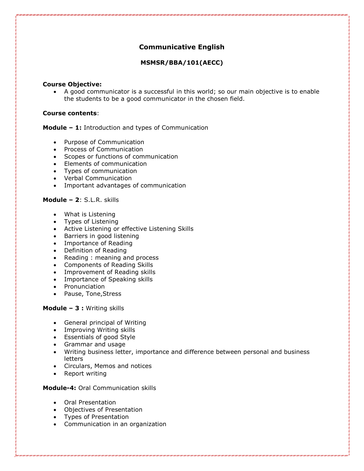# **Communicative English**

# **MSMSR/BBA/101(AECC)**

#### **Course Objective:**

• A good communicator is a successful in this world; so our main objective is to enable the students to be a good communicator in the chosen field.

# **Course contents**:

# **Module – 1:** Introduction and types of Communication

- Purpose of Communication
- Process of Communication
- Scopes or functions of communication
- Elements of communication
- Types of communication
- Verbal Communication
- Important advantages of communication

# **Module – 2**: S.L.R. skills

- What is Listening
- Types of Listening
- Active Listening or effective Listening Skills
- Barriers in good listening
- Importance of Reading
- Definition of Reading
- Reading : meaning and process
- Components of Reading Skills
- Improvement of Reading skills
- Importance of Speaking skills
- Pronunciation
- Pause, Tone,Stress

# **Module – 3 :** Writing skills

- General principal of Writing
- Improving Writing skills
- Essentials of good Style
- Grammar and usage
- Writing business letter, importance and difference between personal and business letters
- Circulars, Memos and notices
- Report writing

**Module-4:** Oral Communication skills

- Oral Presentation
- Objectives of Presentation
- Types of Presentation
- Communication in an organization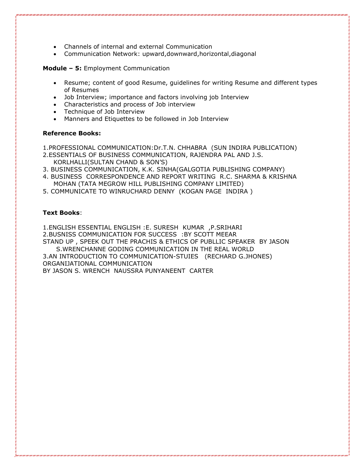- Channels of internal and external Communication
- Communication Network: upward,downward,horizontal,diagonal

**Module – 5:** Employment Communication

- Resume; content of good Resume, guidelines for writing Resume and different types of Resumes
- Job Interview; importance and factors involving job Interview
- Characteristics and process of Job interview
- Technique of Job Interview
- Manners and Etiquettes to be followed in Job Interview

# **Reference Books:**

1.PROFESSIONAL COMMUNICATION:Dr.T.N. CHHABRA (SUN INDIRA PUBLICATION)

- 2.ESSENTIALS OF BUSINESS COMMUNICATION, RAJENDRA PAL AND J.S. KORLHALLI(SULTAN CHAND & SON'S)
- 3. BUSINESS COMMUNICATION, K.K. SINHA(GALGOTIA PUBLISHING COMPANY)
- 4. BUSINESS CORRESPONDENCE AND REPORT WRITING R.C. SHARMA & KRISHNA MOHAN (TATA MEGROW HILL PUBLISHING COMPANY LIMITED)
- 5. COMMUNICATE TO WINRUCHARD DENNY (KOGAN PAGE INDIRA )

# **Text Books**:

1.ENGLISH ESSENTIAL ENGLISH :E. SURESH KUMAR ,P.SRIHARI

2.BUSNISS COMMUNICATION FOR SUCCESS :BY SCOTT MEEAR

STAND UP , SPEEK OUT THE PRACHIS & ETHICS OF PUBLLIC SPEAKER BY JASON S.WRENCHANNE GODING COMMUNICATION IN THE REAL WORLD

3.AN INTRODUCTION TO COMMUNICATION-STUIES (RECHARD G.JHONES) ORGANIJATIONAL COMMUNICATION

BY JASON S. WRENCH NAUSSRA PUNYANEENT CARTER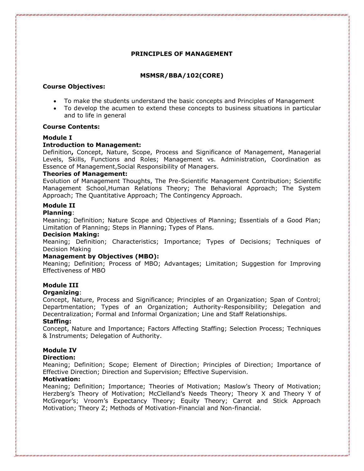# **PRINCIPLES OF MANAGEMENT**

# **MSMSR/BBA/102(CORE)**

#### **Course Objectives:**

- To make the students understand the basic concepts and Principles of Management
- To develop the acumen to extend these concepts to business situations in particular and to life in general

#### **Course Contents:**

# **Module I**

#### **Introduction to Management:**

Definition**,** Concept, Nature, Scope, Process and Significance of Management, Managerial Levels, Skills, Functions and Roles; Management vs. Administration, Coordination as Essence of Management,Social Responsibility of Managers.

#### **Theories of Management:**

Evolution of Management Thoughts, The Pre-Scientific Management Contribution; Scientific Management School,Human Relations Theory; The Behavioral Approach; The System Approach; The Quantitative Approach; The Contingency Approach.

# **Module II**

#### **Planning**:

Meaning; Definition; Nature Scope and Objectives of Planning; Essentials of a Good Plan; Limitation of Planning; Steps in Planning; Types of Plans.

#### **Decision Making:**

Meaning; Definition; Characteristics; Importance; Types of Decisions; Techniques of Decision Making

#### **Management by Objectives (MBO):**

Meaning; Definition; Process of MBO; Advantages; Limitation; Suggestion for Improving Effectiveness of MBO

# **Module III**

# **Organizing**:

Concept, Nature, Process and Significance; Principles of an Organization; Span of Control; Departmentation; Types of an Organization; Authority-Responsibility; Delegation and Decentralization; Formal and Informal Organization; Line and Staff Relationships.

#### **Staffing:**

Concept, Nature and Importance; Factors Affecting Staffing; Selection Process; Techniques & Instruments; Delegation of Authority.

# **Module IV**

#### **Direction:**

Meaning; Definition; Scope; Element of Direction; Principles of Direction; Importance of Effective Direction; Direction and Supervision; Effective Supervision.

# **Motivation:**

Meaning; Definition; Importance; Theories of Motivation; Maslow's Theory of Motivation; Herzberg's Theory of Motivation; McClelland's Needs Theory; Theory X and Theory Y of McGregor's; Vroom's Expectancy Theory; Equity Theory; Carrot and Stick Approach Motivation; Theory Z; Methods of Motivation-Financial and Non-financial.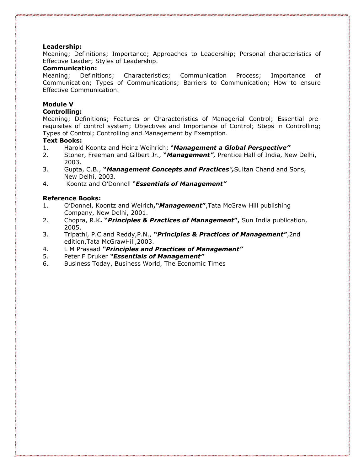#### **Leadership:**

Meaning; Definitions; Importance; Approaches to Leadership; Personal characteristics of Effective Leader; Styles of Leadership.

# **Communication:**

Meaning; Definitions; Characteristics; Communication Process; Importance of Communication; Types of Communications; Barriers to Communication; How to ensure Effective Communication.

# **Module V**

# **Controlling:**

Meaning; Definitions; Features or Characteristics of Managerial Control; Essential prerequisites of control system; Objectives and Importance of Control; Steps in Controlling; Types of Control; Controlling and Management by Exemption.

#### **Text Books:**

- 1. Harold Koontz and Heinz Weihrich; "*Management a Global Perspective"*
- 2. Stoner, Freeman and Gilbert Jr., **"***Management",* Prentice Hall of India, New Delhi, 2003.
- 3. Gupta, C.B., **"***Management Concepts and Practices",*Sultan Chand and Sons, New Delhi, 2003.
- 4. Koontz and O'Donnell "*Essentials of Management"*

#### **Reference Books:**

- 1. O'Donnel, Koontz and Weirich**,"***Management***"**,Tata McGraw Hill publishing Company, New Delhi, 2001.
- 2. Chopra, R.K**. "***Principles & Practices of Management***",** Sun India publication, 2005.
- 3. Tripathi, P.C and Reddy,P.N., **"***Principles & Practices of Management"*,2nd edition,Tata McGrawHill,2003.
- 4. L M Prasaad *"Principles and Practices of Management"*
- 5. Peter F Druker *"Essentials of Management"*
- 6. Business Today, Business World, The Economic Times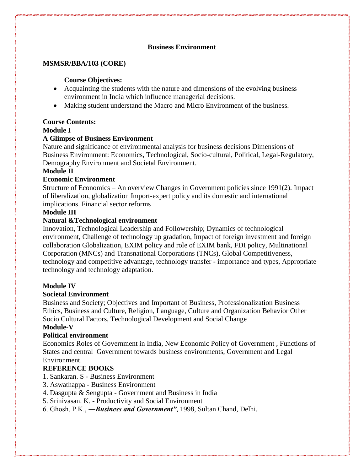# **Business Environment**

# **MSMSR/BBA/103 (CORE)**

# **Course Objectives:**

- Acquainting the students with the nature and dimensions of the evolving business environment in India which influence managerial decisions.
- Making student understand the Macro and Micro Environment of the business.

# **Course Contents:**

# **Module I**

# **A Glimpse of Business Environment**

Nature and significance of environmental analysis for business decisions Dimensions of Business Environment: Economics, Technological, Socio-cultural, Political, Legal-Regulatory, Demography Environment and Societal Environment.

# **Module II**

# **Economic Environment**

Structure of Economics – An overview Changes in Government policies since 1991(2). Impact of liberalization, globalization Import-expert policy and its domestic and international implications. Financial sector reforms

# **Module III**

# **Natural &Technological environment**

Innovation, Technological Leadership and Followership; Dynamics of technological environment, Challenge of technology up gradation, Impact of foreign investment and foreign collaboration Globalization, EXIM policy and role of EXIM bank, FDI policy, Multinational Corporation (MNCs) and Transnational Corporations (TNCs), Global Competitiveness, technology and competitive advantage, technology transfer - importance and types, Appropriate technology and technology adaptation.

# **Module IV**

# **Societal Environment**

Business and Society; Objectives and Important of Business, Professionalization Business Ethics, Business and Culture, Religion, Language, Culture and Organization Behavior Other Socio Cultural Factors, Technological Development and Social Change

# **Module-V**

# **Political environment**

Economics Roles of Government in India, New Economic Policy of Government , Functions of States and central Government towards business environments, Government and Legal Environment.

# **REFERENCE BOOKS**

- 1. Sankaran. S Business Environment
- 3. Aswathappa Business Environment
- 4. Dasgupta & Sengupta Government and Business in India
- 5. Srinivasan. K. Productivity and Social Environment
- 6. Ghosh, P.K., ―*Business and Government"*, 1998, Sultan Chand, Delhi.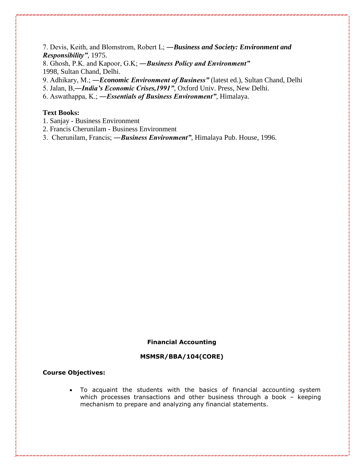7. Devis, Keith, and Blomstrom, Robert L; ―*Business and Society: Environment and Responsibility"*, 1975.

8. Ghosh, P.K. and Kapoor, G.K; ―*Business Policy and Environment"*  1998, Sultan Chand, Delhi.

9. Adhikary, M.; ―*Economic Environment of Business"* (latest ed.), Sultan Chand, Delhi

5. Jalan, B,―*India's Economic Crises,1991"*, Oxford Univ. Press, New Delhi.

6. Aswathappa, K.; ―*Essentials of Business Environment"*, Himalaya.

# **Text Books:**

- 1. Sanjay Business Environment
- 2. Francis Cherunilam Business Environment
- 3. Cherunilam, Francis; ―*Business Environment"*, Himalaya Pub. House, 1996.

#### **Financial Accounting**

#### **MSMSR/BBA/104(CORE)**

#### **Course Objectives:**

• To acquaint the students with the basics of financial accounting system which processes transactions and other business through a book – keeping mechanism to prepare and analyzing any financial statements.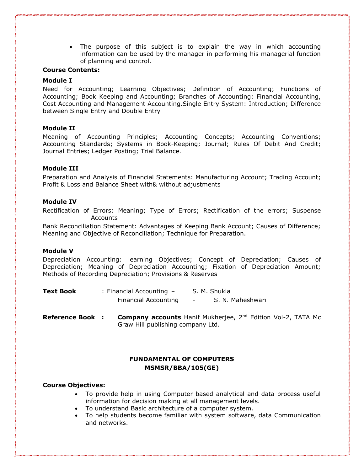• The purpose of this subject is to explain the way in which accounting information can be used by the manager in performing his managerial function of planning and control.

#### **Course Contents:**

#### **Module I**

Need for Accounting; Learning Objectives; Definition of Accounting; Functions of Accounting; Book Keeping and Accounting; Branches of Accounting: Financial Accounting, Cost Accounting and Management Accounting.Single Entry System: Introduction; Difference between Single Entry and Double Entry

# **Module II**

Meaning of Accounting Principles; Accounting Concepts; Accounting Conventions; Accounting Standards; Systems in Book-Keeping; Journal; Rules Of Debit And Credit; Journal Entries; Ledger Posting; Trial Balance.

#### **Module III**

Preparation and Analysis of Financial Statements: Manufacturing Account; Trading Account; Profit & Loss and Balance Sheet with& without adjustments

#### **Module IV**

Rectification of Errors: Meaning; Type of Errors; Rectification of the errors; Suspense Accounts

Bank Reconciliation Statement: Advantages of Keeping Bank Account; Causes of Difference; Meaning and Objective of Reconciliation; Technique for Preparation.

#### **Module V**

Depreciation Accounting: learning Objectives; Concept of Depreciation; Causes of Depreciation; Meaning of Depreciation Accounting; Fixation of Depreciation Amount; Methods of Recording Depreciation; Provisions & Reserves

| <b>Text Book</b> | : Financial Accounting $-$ | S. M. Shukla     |  |  |  |
|------------------|----------------------------|------------------|--|--|--|
|                  | Financial Accounting       | S. N. Maheshwari |  |  |  |

**Reference Book : Company accounts** Hanif Mukherjee, 2nd Edition Vol-2, TATA Mc Graw Hill publishing company Ltd.

# **FUNDAMENTAL OF COMPUTERS MSMSR/BBA/105(GE)**

#### **Course Objectives:**

- To provide help in using Computer based analytical and data process useful information for decision making at all management levels.
- To understand Basic architecture of a computer system.
- To help students become familiar with system software, data Communication and networks.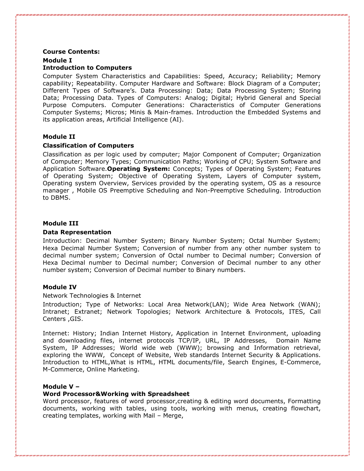# **Course Contents: Module I Introduction to Computers**

Computer System Characteristics and Capabilities: Speed, Accuracy; Reliability; Memory capability; Repeatability. Computer Hardware and Software: Block Diagram of a Computer; Different Types of Software's. Data Processing: Data; Data Processing System; Storing Data; Processing Data. Types of Computers: Analog; Digital; Hybrid General and Special Purpose Computers. Computer Generations: Characteristics of Computer Generations Computer Systems; Micros; Minis & Main-frames. Introduction the Embedded Systems and its application areas, Artificial Intelligence (AI).

# **Module II**

# **Classification of Computers**

Classification as per logic used by computer; Major Component of Computer; Organization of Computer; Memory Types; Communication Paths; Working of CPU; System Software and Application Software.**Operating System:** Concepts; Types of Operating System; Features of Operating System; Objective of Operating System, Layers of Computer system, Operating system Overview, Services provided by the operating system, OS as a resource manager , Mobile OS Preemptive Scheduling and Non-Preemptive Scheduling. Introduction to DBMS.

#### **Module III**

#### **Data Representation**

Introduction: Decimal Number System; Binary Number System; Octal Number System; Hexa Decimal Number System; Conversion of number from any other number system to decimal number system; Conversion of Octal number to Decimal number; Conversion of Hexa Decimal number to Decimal number; Conversion of Decimal number to any other number system; Conversion of Decimal number to Binary numbers.

# **Module IV**

#### Network Technologies & Internet

Introduction; Type of Networks: Local Area Network(LAN); Wide Area Network (WAN); Intranet; Extranet; Network Topologies; Network Architecture & Protocols, ITES, Call Centers ,GIS.

Internet: History; Indian Internet History, Application in Internet Environment, uploading and downloading files, internet protocols TCP/IP, URL, IP Addresses, Domain Name System, IP Addresses; World wide web (WWW); browsing and Information retrieval, exploring the WWW, Concept of Website, Web standards Internet Security & Applications. Introduction to HTML,What is HTML, HTML documents/file, Search Engines, E-Commerce, M-Commerce, Online Marketing.

#### **Module V –**

# **Word Processor&Working with Spreadsheet**

Word processor, features of word processor,creating & editing word documents, Formatting documents, working with tables, using tools, working with menus, creating flowchart, creating templates, working with Mail – Merge,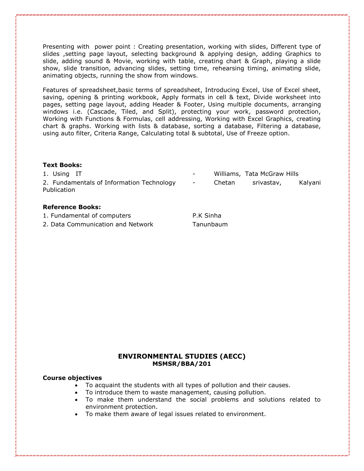Presenting with power point : Creating presentation, working with slides, Different type of slides ,setting page layout, selecting background & applying design, adding Graphics to slide, adding sound & Movie, working with table, creating chart & Graph, playing a slide show, slide transition, advancing slides, setting time, rehearsing timing, animating slide, animating objects, running the show from windows.

Features of spreadsheet,basic terms of spreadsheet, Introducing Excel, Use of Excel sheet, saving, opening & printing workbook, Apply formats in cell & text, Divide worksheet into pages, setting page layout, adding Header & Footer, Using multiple documents, arranging windows i.e. (Cascade, Tiled, and Split), protecting your work, password protection, Working with Functions & Formulas, cell addressing, Working with Excel Graphics, creating chart & graphs. Working with lists & database, sorting a database, Filtering a database, using auto filter, Criteria Range, Calculating total & subtotal, Use of Freeze option.

#### **Text Books:**

1. Using IT **All Accords** 2008 - Williams, Tata McGraw Hills 2. Fundamentals of Information Technology - Chetan srivastav, Kalyani **Publication** 

# **Reference Books:**

- 1. Fundamental of computers P.K Sinha
- 2. Data Communication and Network Tanunbaum

# **ENVIRONMENTAL STUDIES (AECC) MSMSR/BBA/201**

# **Course objectives**

- To acquaint the students with all types of pollution and their causes.
- To introduce them to waste management, causing pollution.
- To make them understand the social problems and solutions related to environment protection.
- To make them aware of legal issues related to environment.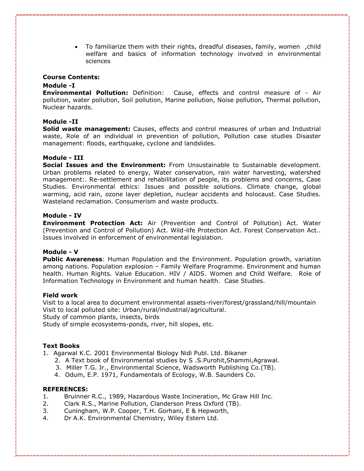• To familiarize them with their rights, dreadful diseases, family, women ,child welfare and basics of information technology involved in environmental sciences

#### **Course Contents:**

#### **Module -I**

**Environmental Pollution:** Definition: Cause, effects and control measure of - Air pollution, water pollution, Soil pollution, Marine pollution, Noise pollution, Thermal pollution, Nuclear hazards.

#### **Module -II**

**Solid waste management:** Causes, effects and control measures of urban and Industrial waste, Role of an individual in prevention of pollution, Pollution case studies Disaster management: floods, earthquake, cyclone and landslides.

#### **Module - III**

**Social Issues and the Environment:** From Unsustainable to Sustainable development. Urban problems related to energy, Water conservation, rain water harvesting, watershed management:. Re-settlement and rehabilitation of people, its problems and concerns, Case Studies. Environmental ethics: Issues and possible solutions. Climate change, global warming, acid rain, ozone layer depletion, nuclear accidents and holocaust. Case Studies. Wasteland reclamation. Consumerism and waste products.

#### **Module - IV**

**Environment Protection Act:** Air (Prevention and Control of Pollution) Act. Water (Prevention and Control of Pollution) Act. Wild-life Protection Act. Forest Conservation Act.. Issues involved in enforcement of environmental legislation.

#### **Module - V**

**Public Awareness**: Human Population and the Environment. Population growth, variation among nations. Population explosion – Family Welfare Programme. Environment and human health. Human Rights. Value Education. HIV / AIDS. Women and Child Welfare. Role of Information Technology in Environment and human health. Case Studies.

#### **Field work**

Visit to a local area to document environmental assets-river/forest/grassland/hill/mountain Visit to local polluted site: Urban/rural/industrial/agricultural. Study of common plants, insects, birds

Study of simple ecosystems-ponds, river, hill slopes, etc.

#### **Text Books**

- 1. Agarwal K.C. 2001 Environmental Biology Nidi Publ. Ltd. Bikaner
	- 2. A Text book of Environmental studies by S .S.Purohit,Shammi,Agrawal.
	- 3. Miller T.G. Jr., Environmental Science, Wadsworth Publishing Co.(TB).
	- 4. Odum, E.P. 1971, Fundamentals of Ecology, W.B. Saunders Co.

#### **REFERENCES:**

- 1. Bruinner R.C., 1989, Hazardous Waste Incineration, Mc Graw Hill Inc.
- 2. Clark R.S., Marine Pollution, Clanderson Press Oxford (TB).
- 3. Cuningham, W.P. Cooper, T.H. Gorhani, E & Hepworth,
- 4. Dr A.K. Environmental Chemistry, Wiley Estern Ltd.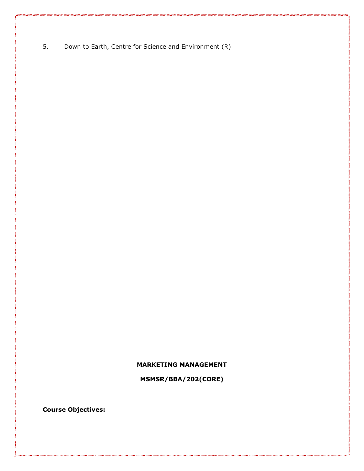5. Down to Earth, Centre for Science and Environment (R)

# **MARKETING MANAGEMENT**

**MSMSR/BBA/202(CORE)**

**Course Objectives:**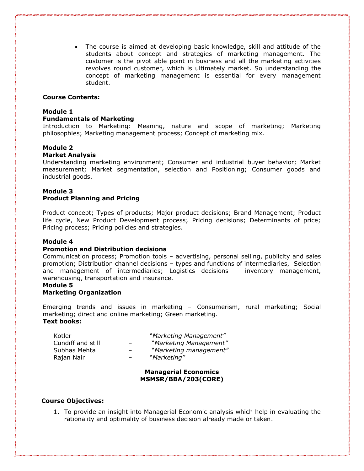• The course is aimed at developing basic knowledge, skill and attitude of the students about concept and strategies of marketing management. The customer is the pivot able point in business and all the marketing activities revolves round customer, which is ultimately market. So understanding the concept of marketing management is essential for every management student.

#### **Course Contents:**

#### **Module 1**

#### **Fundamentals of Marketing**

Introduction to Marketing: Meaning, nature and scope of marketing; Marketing philosophies; Marketing management process; Concept of marketing mix.

#### **Module 2**

#### **Market Analysis**

Understanding marketing environment; Consumer and industrial buyer behavior; Market measurement; Market segmentation, selection and Positioning; Consumer goods and industrial goods.

# **Module 3 Product Planning and Pricing**

Product concept; Types of products; Major product decisions; Brand Management; Product life cycle, New Product Development process; Pricing decisions; Determinants of price; Pricing process; Pricing policies and strategies.

#### **Module 4**

# **Promotion and Distribution decisions**

Communication process; Promotion tools – advertising, personal selling, publicity and sales promotion; Distribution channel decisions – types and functions of intermediaries, Selection and management of intermediaries; Logistics decisions – inventory management, warehousing, transportation and insurance.

# **Module 5**

#### **Marketing Organization**

Emerging trends and issues in marketing – Consumerism, rural marketing; Social marketing; direct and online marketing; Green marketing. **Text books:**

| Kotler            | -                        | "Marketing Management" |
|-------------------|--------------------------|------------------------|
| Cundiff and still | $\overline{\phantom{0}}$ | "Marketing Management" |
| Subhas Mehta      | -                        | "Marketing management" |
| Rajan Nair        | -                        | "Marketing"            |
|                   |                          |                        |

#### **Managerial Economics MSMSR/BBA/203(CORE)**

#### **Course Objectives:**

1. To provide an insight into Managerial Economic analysis which help in evaluating the rationality and optimality of business decision already made or taken.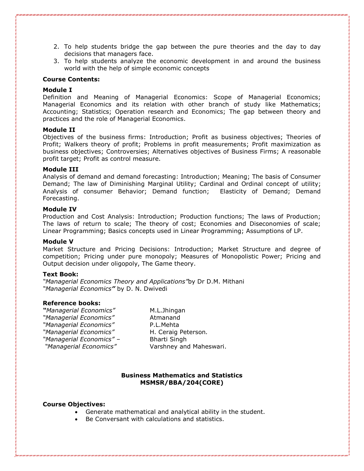- 2. To help students bridge the gap between the pure theories and the day to day decisions that managers face.
- 3. To help students analyze the economic development in and around the business world with the help of simple economic concepts

# **Course Contents:**

#### **Module I**

Definition and Meaning of Managerial Economics: Scope of Managerial Economics; Managerial Economics and its relation with other branch of study like Mathematics; Accounting; Statistics; Operation research and Economics; The gap between theory and practices and the role of Managerial Economics.

#### **Module II**

Objectives of the business firms: Introduction; Profit as business objectives; Theories of Profit; Walkers theory of profit; Problems in profit measurements; Profit maximization as business objectives; Controversies; Alternatives objectives of Business Firms; A reasonable profit target; Profit as control measure.

#### **Module III**

Analysis of demand and demand forecasting: Introduction; Meaning; The basis of Consumer Demand; The law of Diminishing Marginal Utility; Cardinal and Ordinal concept of utility; Analysis of consumer Behavior; Demand function; Elasticity of Demand; Demand Forecasting.

#### **Module IV**

Production and Cost Analysis: Introduction; Production functions; The laws of Production; The laws of return to scale; The theory of cost; Economies and Diseconomies of scale; Linear Programming; Basics concepts used in Linear Programming; Assumptions of LP.

#### **Module V**

Market Structure and Pricing Decisions: Introduction; Market Structure and degree of competition; Pricing under pure monopoly; Measures of Monopolistic Power; Pricing and Output decision under oligopoly, The Game theory.

#### **Text Book:**

*"Managerial Economics Theory and Applications"*by Dr D.M. Mithani *"Managerial Economics"* by D. N. Dwivedi

#### **Reference books:**

*"Managerial Economics"* M.L.Jhingan *"Managerial Economics"* Atmanand *"Managerial Economics"* P.L.Mehta *"Managerial Economics"* H. Ceraig Peterson*. "Managerial Economics" –* Bharti Singh

*"Managerial Economics"* Varshney and Maheswari.

#### **Business Mathematics and Statistics MSMSR/BBA/204(CORE)**

#### **Course Objectives:**

- Generate mathematical and analytical ability in the student.
- Be Conversant with calculations and statistics.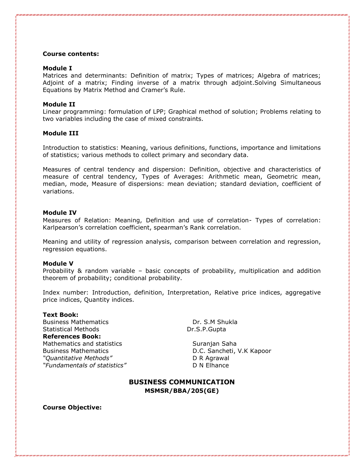#### **Course contents:**

#### **Module I**

Matrices and determinants: Definition of matrix; Types of matrices; Algebra of matrices; Adjoint of a matrix; Finding inverse of a matrix through adjoint.Solving Simultaneous Equations by Matrix Method and Cramer's Rule.

#### **Module II**

Linear programming: formulation of LPP; Graphical method of solution; Problems relating to two variables including the case of mixed constraints.

#### **Module III**

Introduction to statistics: Meaning, various definitions, functions, importance and limitations of statistics; various methods to collect primary and secondary data.

Measures of central tendency and dispersion: Definition, objective and characteristics of measure of central tendency, Types of Averages: Arithmetic mean, Geometric mean, median, mode, Measure of dispersions: mean deviation; standard deviation, coefficient of variations.

#### **Module IV**

Measures of Relation: Meaning, Definition and use of correlation- Types of correlation: Karlpearson's correlation coefficient, spearman's Rank correlation.

Meaning and utility of regression analysis, comparison between correlation and regression, regression equations.

#### **Module V**

Probability & random variable – basic concepts of probability, multiplication and addition theorem of probability; conditional probability.

Index number: Introduction, definition, Interpretation, Relative price indices, aggregative price indices, Quantity indices.

#### **Text Book:**

Business Mathematics Dr. S.M Shukla Statistical Methods **Dr.S.P.Gupta References Book:** Mathematics and statistics Suranjan Saha Business Mathematics D.C. Sancheti, V.K Kapoor *"Quantitative Methods"* D R Agrawal *"Fundamentals of statistics"* D N Elhance

# **BUSINESS COMMUNICATION MSMSR/BBA/205(GE)**

**Course Objective:**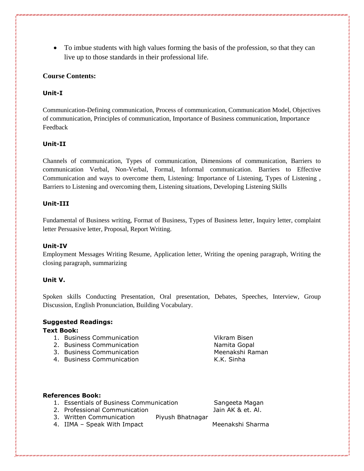• To imbue students with high values forming the basis of the profession, so that they can live up to those standards in their professional life.

# **Course Contents:**

# **Unit-I**

Communication-Defining communication, Process of communication, Communication Model, Objectives of communication, Principles of communication, Importance of Business communication, Importance Feedback

# **Unit-II**

Channels of communication, Types of communication, Dimensions of communication, Barriers to communication Verbal, Non-Verbal, Formal, Informal communication. Barriers to Effective Communication and ways to overcome them, Listening: Importance of Listening, Types of Listening , Barriers to Listening and overcoming them, Listening situations, Developing Listening Skills

# **Unit-III**

Fundamental of Business writing, Format of Business, Types of Business letter, Inquiry letter, complaint letter Persuasive letter, Proposal, Report Writing.

# **Unit-IV**

Employment Messages Writing Resume, Application letter, Writing the opening paragraph, Writing the closing paragraph, summarizing

# **Unit V.**

Spoken skills Conducting Presentation, Oral presentation, Debates, Speeches, Interview, Group Discussion, English Pronunciation, Building Vocabulary.

# **Suggested Readings:**

# **Text Book:**

- 1. Business Communication Vikram Bisen
- 2. Business Communication Namita Gopal
- 3. Business Communication Meenakshi Raman
- 4. Business Communication The Control of the K.K. Sinha

# **References Book:**

1. Essentials of Business Communication Sangeeta Magan

2. Professional Communication and Jain AK & et. Al.

- 3. Written Communication Piyush Bhatnagar
- 4. IIMA Speak With Impact Meenakshi Sharma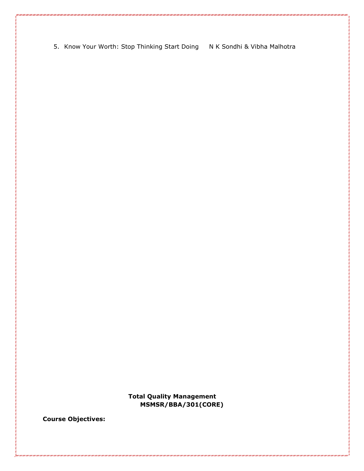5. Know Your Worth: Stop Thinking Start Doing N K Sondhi & Vibha Malhotra

**Total Quality Management MSMSR/BBA/301(CORE)**

**Course Objectives:**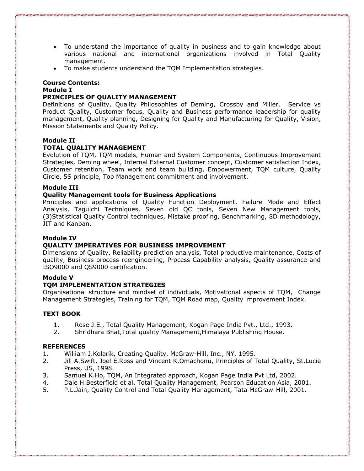- To understand the importance of quality in business and to gain knowledge about various national and international organizations involved in Total Quality management.
- To make students understand the TQM Implementation strategies.

# **Course Contents:**

# **Module I**

# **PRINCIPLES OF QUALITY MANAGEMENT**

Definitions of Quality, Quality Philosophies of Deming, Crossby and Miller, Service vs Product Quality, Customer focus, Quality and Business performance leadership for quality management, Quality planning, Designing for Quality and Manufacturing for Quality, Vision, Mission Statements and Quality Policy.

# **Module II**

# **TOTAL QUALITY MANAGEMENT**

Evolution of TQM, TQM models, Human and System Components, Continuous Improvement Strategies, Deming wheel, Internal External Customer concept, Customer satisfaction Index, Customer retention, Team work and team building, Empowerment, TQM culture, Quality Circle, 5S principle, Top Management commitment and involvement.

# **Module III**

# **Quality Management tools for Business Applications**

Principles and applications of Quality Function Deployment, Failure Mode and Effect Analysis, Taguichi Techniques, Seven old QC tools, Seven New Management tools, (3)Statistical Quality Control techniques, Mistake proofing, Benchmarking, 8D methodology, JIT and Kanban.

#### **Module IV**

# **QUALITY IMPERATIVES FOR BUSINESS IMPROVEMENT**

Dimensions of Quality, Reliability prediction analysis, Total productive maintenance, Costs of quality, Business process reengineering, Process Capability analysis, Quality assurance and ISO9000 and QS9000 certification.

#### **Module V**

# **TQM IMPLEMENTATION STRATEGIES**

Organisational structure and mindset of individuals, Motivational aspects of TQM, Change Management Strategies, Training for TQM, TQM Road map, Quality improvement Index.

# **TEXT BOOK**

- 1. Rose J.E., Total Quality Management, Kogan Page India Pvt., Ltd., 1993.
- 2. Shridhara Bhat,Total quality Management,Himalaya Publishing House.

#### **REFERENCES**

- 1. William J.Kolarik, Creating Quality, McGraw-Hill, Inc., NY, 1995.
- 2. Jill A.Swift, Joel E.Ross and Vincent K.Omachonu, Principles of Total Quality, St.Lucie Press, US, 1998.
- 3. Samuel K.Ho, TQM, An Integrated approach, Kogan Page India Pvt Ltd, 2002.
- 4. Dale H.Besterfield et al, Total Quality Management, Pearson Education Asia, 2001.
- 5. P.L.Jain, Quality Control and Total Quality Management, Tata McGraw-Hill, 2001.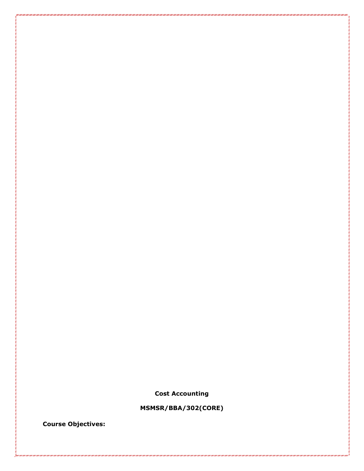**Cost Accounting**

**MSMSR/BBA/302(CORE)**

**Course Objectives:**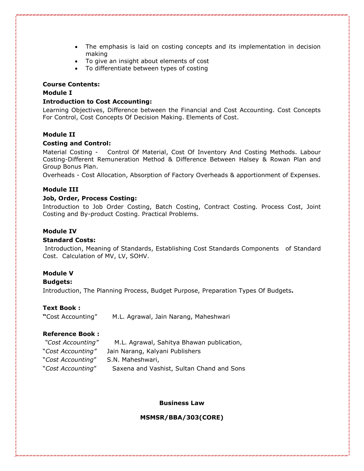- The emphasis is laid on costing concepts and its implementation in decision making
- To give an insight about elements of cost
- To differentiate between types of costing

#### **Course Contents:**

### **Module I**

#### **Introduction to Cost Accounting:**

Learning Objectives, Difference between the Financial and Cost Accounting. Cost Concepts For Control, Cost Concepts Of Decision Making. Elements of Cost.

#### **Module II**

#### **Costing and Control:**

Material Costing - Control Of Material, Cost Of Inventory And Costing Methods. Labour Costing-Different Remuneration Method & Difference Between Halsey & Rowan Plan and Group Bonus Plan.

Overheads - Cost Allocation, Absorption of Factory Overheads & apportionment of Expenses.

#### **Module III**

#### **Job, Order, Process Costing:**

Introduction to Job Order Costing, Batch Costing, Contract Costing. Process Cost, Joint Costing and By-product Costing. Practical Problems.

#### **Module IV**

#### **Standard Costs:**

Introduction, Meaning of Standards, Establishing Cost Standards Components of Standard Cost. Calculation of MV, LV, SOHV.

# **Module V**

#### **Budgets:**

Introduction, The Planning Process, Budget Purpose, Preparation Types Of Budgets**.** 

#### **Text Book :**

**"**Cost Accounting" M.L. Agrawal, Jain Narang, Maheshwari

# **Reference Book :**

| "Cost Accounting" | M.L. Agrawal, Sahitya Bhawan publication, |
|-------------------|-------------------------------------------|
| "Cost Accounting" | Jain Narang, Kalyani Publishers           |
| "Cost Accounting" | S.N. Maheshwari,                          |

"*Cost Accounting*" Saxena and Vashist, Sultan Chand and Sons

#### **Business Law**

**MSMSR/BBA/303(CORE)**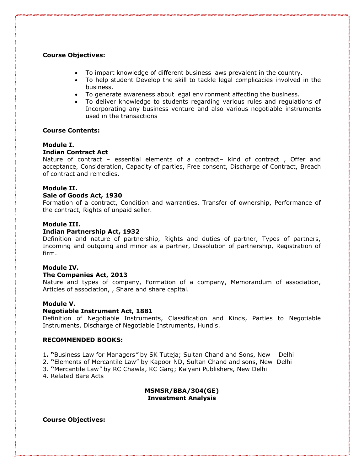# **Course Objectives:**

- To impart knowledge of different business laws prevalent in the country.
- To help student Develop the skill to tackle legal complicacies involved in the business.
- To generate awareness about legal environment affecting the business.
- To deliver knowledge to students regarding various rules and regulations of Incorporating any business venture and also various negotiable instruments used in the transactions

#### **Course Contents:**

#### **Module I.**

#### **Indian Contract Act**

Nature of contract – essential elements of a contract– kind of contract , Offer and acceptance, Consideration, Capacity of parties, Free consent, Discharge of Contract, Breach of contract and remedies.

#### **Module II.**

#### **Sale of Goods Act, 1930**

Formation of a contract, Condition and warranties, Transfer of ownership, Performance of the contract, Rights of unpaid seller.

#### **Module III.**

#### **Indian Partnership Act, 1932**

Definition and nature of partnership, Rights and duties of partner, Types of partners, Incoming and outgoing and minor as a partner, Dissolution of partnership, Registration of firm.

#### **Module IV.**

#### **The Companies Act, 2013**

Nature and types of company, Formation of a company, Memorandum of association, Articles of association, , Share and share capital.

#### **Module V.**

#### **Negotiable Instrument Act, 1881**

Definition of Negotiable Instruments, Classification and Kinds, Parties to Negotiable Instruments, Discharge of Negotiable Instruments, Hundis.

#### **RECOMMENDED BOOKS:**

- 1**. "**Business Law for Managers*"* by SK Tuteja; Sultan Chand and Sons, New Delhi
- 2. **"**Elements of Mercantile Law" by Kapoor ND, Sultan Chand and sons, New Delhi
- 3. **"**Mercantile Law*"* by RC Chawla, KC Garg; Kalyani Publishers, New Delhi
- 4. Related Bare Acts

#### **MSMSR/BBA/304(GE) Investment Analysis**

#### **Course Objectives:**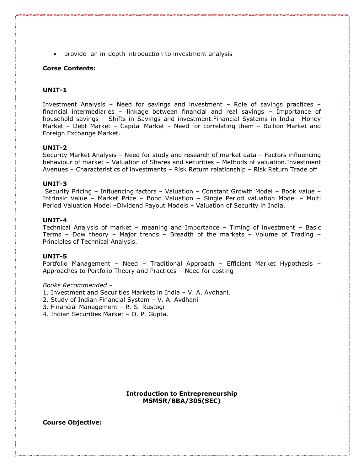• provide an in-depth introduction to investment analysis

# **Corse Contents:**

# **UNIT-1**

Investment Analysis – Need for savings and investment – Role of savings practices – financial intermediaries – linkage between financial and real savings – Importance of household savings – Shifts in Savings and investment.Financial Systems in India –Money Market – Debt Market – Capital Market – Need for correlating them – Bullion Market and Foreign Exchange Market.

#### **UNIT-2**

Security Market Analysis – Need for study and research of market data – Factors influencing behaviour of market – Valuation of Shares and securities – Methods of valuation.Investment Avenues – Characteristics of investments – Risk Return relationship – Risk Return Trade off

#### **UNIT-3**

Security Pricing – Influencing factors – Valuation – Constant Growth Model – Book value – Intrinsic Value – Market Price – Bond Valuation – Single Period valuation Model – Multi Period Valuation Model –Dividend Payout Models – Valuation of Security in India.

#### **UNIT-4**

Technical Analysis of market – meaning and Importance – Timing of investment – Basic Terms – Dow theory – Major trends – Breadth of the markets – Volume of Trading – Principles of Technical Analysis.

#### **UNIT-5**

Portfolio Management – Need – Traditional Approach – Efficient Market Hypothesis – Approaches to Portfolio Theory and Practices – Need for costing

#### *Books Recommended –*

- 1. Investment and Securities Markets in India V. A. Avdhani.
- 2. Study of Indian Financial System V. A. Avdhani
- 3. Financial Management R. S. Rustogi
- 4. Indian Securities Market O. P. Gupta.

#### **Introduction to Entrepreneurship MSMSR/BBA/305(SEC)**

**Course Objective:**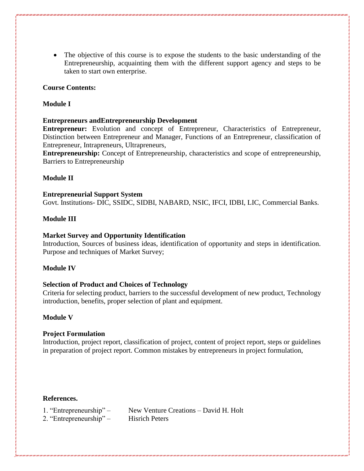• The objective of this course is to expose the students to the basic understanding of the Entrepreneurship, acquainting them with the different support agency and steps to be taken to start own enterprise.

# **Course Contents:**

# **Module I**

# **Entrepreneurs andEntrepreneurship Development**

**Entrepreneur:** Evolution and concept of Entrepreneur, Characteristics of Entrepreneur, Distinction between Entrepreneur and Manager, Functions of an Entrepreneur, classification of Entrepreneur, Intrapreneurs, Ultrapreneurs,

**Entrepreneurship:** Concept of Entrepreneurship, characteristics and scope of entrepreneurship, Barriers to Entrepreneurship

# **Module II**

# **Entrepreneurial Support System**

Govt. Institutions- DIC, SSIDC, SIDBI, NABARD, NSIC, IFCI, IDBI, LIC, Commercial Banks.

# **Module III**

# **Market Survey and Opportunity Identification**

Introduction, Sources of business ideas, identification of opportunity and steps in identification. Purpose and techniques of Market Survey;

# **Module IV**

# **Selection of Product and Choices of Technology**

Criteria for selecting product, barriers to the successful development of new product, Technology introduction, benefits, proper selection of plant and equipment.

# **Module V**

# **Project Formulation**

Introduction, project report, classification of project, content of project report, steps or guidelines in preparation of project report. Common mistakes by entrepreneurs in project formulation,

# **References.**

- 1. "Entrepreneurship" New Venture Creations David H. Holt
- 2. "Entrepreneurship" Hisrich Peters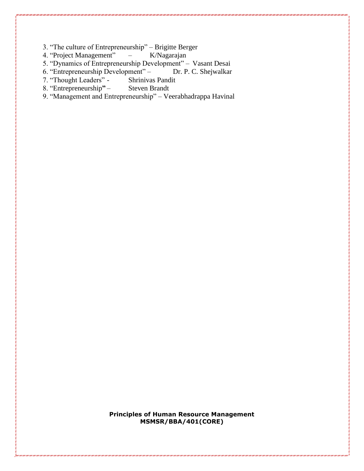3. "The culture of Entrepreneurship" – Brigitte Berger<br>4. "Project Management" – K/Nagarajan

4. "Project Management"  $-$ 

5. "Dynamics of Entrepreneurship Development" – Vasant Desai<br>6. "Entrepreneurship Development" – Dr. P. C. Shejwalkar

6. "Entrepreneurship Development" – D<br>7. "Thought Leaders" - Shrinivas Pandit

7. "Thought Leaders" - Shrinivas Pand<br>8. "Entrepreneurship" - Steven Brandt

8. "Entrepreneurship" –

9. "Management and Entrepreneurship" – Veerabhadrappa Havinal

**Principles of Human Resource Management MSMSR/BBA/401(CORE)**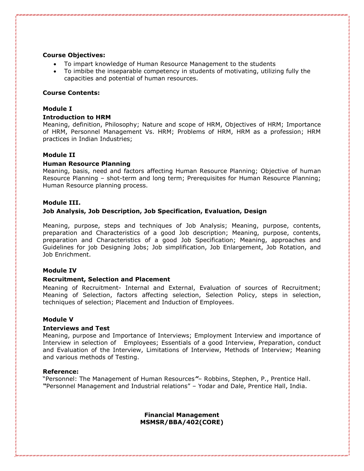# **Course Objectives:**

- To impart knowledge of Human Resource Management to the students
- To imbibe the inseparable competency in students of motivating, utilizing fully the capacities and potential of human resources.

#### **Course Contents:**

#### **Module I**

# **Introduction to HRM**

Meaning, definition, Philosophy; Nature and scope of HRM, Objectives of HRM; Importance of HRM, Personnel Management Vs. HRM; Problems of HRM, HRM as a profession; HRM practices in Indian Industries;

# **Module II**

#### **Human Resource Planning**

Meaning, basis, need and factors affecting Human Resource Planning; Objective of human Resource Planning – shot-term and long term; Prerequisites for Human Resource Planning; Human Resource planning process.

#### **Module III.**

# **Job Analysis, Job Description, Job Specification, Evaluation, Design**

Meaning, purpose, steps and techniques of Job Analysis; Meaning, purpose, contents, preparation and Characteristics of a good Job description; Meaning, purpose, contents, preparation and Characteristics of a good Job Specification; Meaning, approaches and Guidelines for job Designing Jobs; Job simplification, Job Enlargement, Job Rotation, and Job Enrichment.

#### **Module IV**

#### **Recruitment, Selection and Placement**

Meaning of Recruitment- Internal and External, Evaluation of sources of Recruitment; Meaning of Selection, factors affecting selection, Selection Policy, steps in selection, techniques of selection; Placement and Induction of Employees.

#### **Module V**

#### **Interviews and Test**

Meaning, purpose and Importance of Interviews; Employment Interview and importance of Interview in selection of Employees; Essentials of a good Interview, Preparation, conduct and Evaluation of the Interview, Limitations of Interview, Methods of Interview; Meaning and various methods of Testing.

#### **Reference:**

"Personnel: The Management of Human Resources*"*– Robbins, Stephen, P., Prentice Hall. *"*Personnel Management and Industrial relations" – Yodar and Dale, Prentice Hall, India.

> **Financial Management MSMSR/BBA/402(CORE)**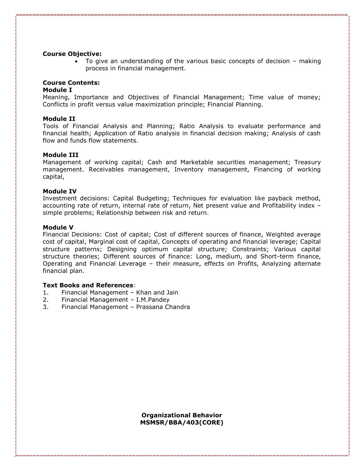#### **Course Objective:**

• To give an understanding of the various basic concepts of decision – making process in financial management.

# **Course Contents:**

#### **Module I**

Meaning, Importance and Objectives of Financial Management; Time value of money; Conflicts in profit versus value maximization principle; Financial Planning.

#### **Module II**

Tools of Financial Analysis and Planning; Ratio Analysis to evaluate performance and financial health; Application of Ratio analysis in financial decision making; Analysis of cash flow and funds flow statements.

#### **Module III**

Management of working capital; Cash and Marketable securities management; Treasury management. Receivables management, Inventory management, Financing of working capital,

#### **Module IV**

Investment decisions: Capital Budgeting; Techniques for evaluation like payback method, accounting rate of return, internal rate of return, Net present value and Profitability index – simple problems; Relationship between risk and return.

#### **Module V**

Financial Decisions: Cost of capital; Cost of different sources of finance, Weighted average cost of capital, Marginal cost of capital, Concepts of operating and financial leverage; Capital structure patterns; Designing optimum capital structure; Constraints; Various capital structure theories; Different sources of finance: Long, medium, and Short-term finance, Operating and Financial Leverage – their measure, effects on Profits, Analyzing alternate financial plan.

# **Text Books and References**:

- 1. Financial Management Khan and Jain
- 2. Financial Management I.M.Pandey
- 3. Financial Management Prassana Chandra

**Organizational Behavior MSMSR/BBA/403(CORE)**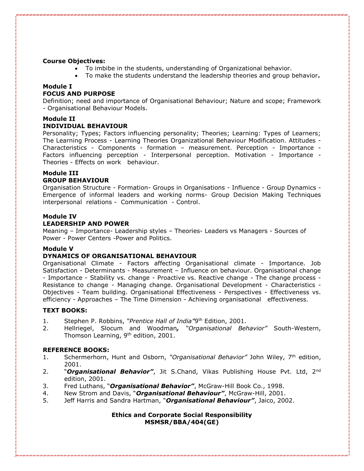#### **Course Objectives:**

- To imbibe in the students, understanding of Organizational behavior.
- To make the students understand the leadership theories and group behavior**.**

# **Module I**

# **FOCUS AND PURPOSE**

Definition; need and importance of Organisational Behaviour; Nature and scope; Framework - Organisational Behaviour Models.

# **Module II**

#### **INDIVIDUAL BEHAVIOUR**

Personality; Types; Factors influencing personality; Theories; Learning: Types of Learners; The Learning Process - Learning Theories Organizational Behaviour Modification. Attitudes - Characteristics - Components - formation – measurement. Perception - Importance - Factors influencing perception - Interpersonal perception. Motivation - Importance - Theories - Effects on work behaviour.

# **Module III GROUP BEHAVIOUR**

Organisation Structure - Formation- Groups in Organisations - Influence - Group Dynamics - Emergence of informal leaders and working norms- Group Decision Making Techniques interpersonal relations - Communication - Control.

# **Module IV**

#### **LEADERSHIP AND POWER**

Meaning – Importance- Leadership styles – Theories- Leaders vs Managers - Sources of Power - Power Centers -Power and Politics.

#### **Module V**

# **DYNAMICS OF ORGANISATIONAL BEHAVIOUR**

Organisational Climate - Factors affecting Organisational climate - Importance. Job Satisfaction - Determinants - Measurement – Influence on behaviour. Organisational change - Importance - Stability vs. change - Proactive vs. Reactive change - The change process -Resistance to change - Managing change. Organisational Development - Characteristics - Objectives - Team building. Organisational Effectiveness - Perspectives - Effectiveness vs. efficiency - Approaches – The Time Dimension - Achieving organisational effectiveness.

# **TEXT BOOKS:**

- 1. Stephen P. Robbins, "Prentice Hall of India"9<sup>th</sup> Edition, 2001.
- 2. Hellriegel, Slocum and Woodman*, "Organisational Behavior"* South-Western, Thomson Learning, 9<sup>th</sup> edition, 2001.

# **REFERENCE BOOKS:**

- 1. Schermerhorn, Hunt and Osborn, *"Organisational Behavior"* John Wiley, 7th edition, 2001.
- 2. "*Organisational Behavior"*, Jit S.Chand, Vikas Publishing House Pvt. Ltd, 2nd edition, 2001.
- 3. Fred Luthans, "*Organisational Behavior"*, McGraw-Hill Book Co., 1998.
- 4. New Strom and Davis, "*Organisational Behaviour"*, McGraw-Hill, 2001.
- 5. Jeff Harris and Sandra Hartman, "*Organisational Behaviour"*, Jaico, 2002.

# **Ethics and Corporate Social Responsibility MSMSR/BBA/404(GE)**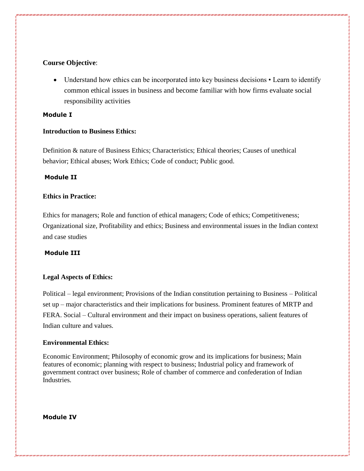# **Course Objective**:

• Understand how ethics can be incorporated into key business decisions • Learn to identify common ethical issues in business and become familiar with how firms evaluate social responsibility activities

# **Module I**

# **Introduction to Business Ethics:**

Definition & nature of Business Ethics; Characteristics; Ethical theories; Causes of unethical behavior; Ethical abuses; Work Ethics; Code of conduct; Public good.

# **Module II**

# **Ethics in Practice:**

Ethics for managers; Role and function of ethical managers; Code of ethics; Competitiveness; Organizational size, Profitability and ethics; Business and environmental issues in the Indian context and case studies

# **Module III**

# **Legal Aspects of Ethics:**

Political – legal environment; Provisions of the Indian constitution pertaining to Business – Political set up – major characteristics and their implications for business. Prominent features of MRTP and FERA. Social – Cultural environment and their impact on business operations, salient features of Indian culture and values.

# **Environmental Ethics:**

Economic Environment; Philosophy of economic grow and its implications for business; Main features of economic; planning with respect to business; Industrial policy and framework of government contract over business; Role of chamber of commerce and confederation of Indian Industries.

# **Module IV**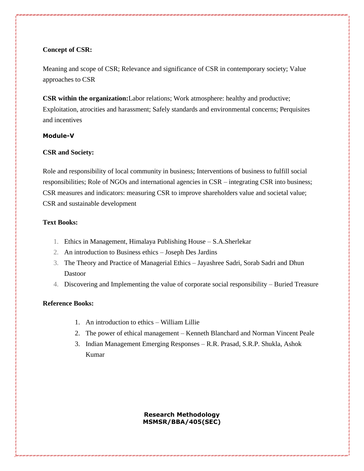# **Concept of CSR:**

Meaning and scope of CSR; Relevance and significance of CSR in contemporary society; Value approaches to CSR

**CSR within the organization:**Labor relations; Work atmosphere: healthy and productive; Exploitation, atrocities and harassment; Safely standards and environmental concerns; Perquisites and incentives

# **Module-V**

# **CSR and Society:**

Role and responsibility of local community in business; Interventions of business to fulfill social responsibilities; Role of NGOs and international agencies in CSR – integrating CSR into business; CSR measures and indicators: measuring CSR to improve shareholders value and societal value; CSR and sustainable development

# **Text Books:**

- 1. Ethics in Management, Himalaya Publishing House S.A.Sherlekar
- 2. An introduction to Business ethics Joseph Des Jardins
- 3. The Theory and Practice of Managerial Ethics Jayashree Sadri, Sorab Sadri and Dhun Dastoor
- 4. Discovering and Implementing the value of corporate social responsibility Buried Treasure

#### **Reference Books:**

- 1. An introduction to ethics William Lillie
- 2. The power of ethical management Kenneth Blanchard and Norman Vincent Peale
- 3. Indian Management Emerging Responses R.R. Prasad, S.R.P. Shukla, Ashok Kumar

**Research Methodology MSMSR/BBA/405(SEC)**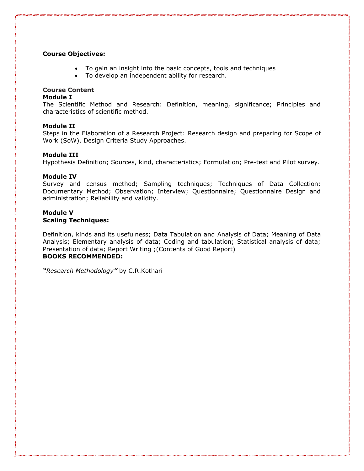# **Course Objectives:**

- To gain an insight into the basic concepts, tools and techniques
- To develop an independent ability for research.

# **Course Content**

#### **Module I**

The Scientific Method and Research: Definition, meaning, significance; Principles and characteristics of scientific method.

#### **Module II**

Steps in the Elaboration of a Research Project: Research design and preparing for Scope of Work (SoW), Design Criteria Study Approaches.

#### **Module III**

Hypothesis Definition; Sources, kind, characteristics; Formulation; Pre-test and Pilot survey.

#### **Module IV**

Survey and census method; Sampling techniques; Techniques of Data Collection: Documentary Method; Observation; Interview; Questionnaire; Questionnaire Design and administration; Reliability and validity.

# **Module V**

#### **Scaling Techniques:**

Definition, kinds and its usefulness; Data Tabulation and Analysis of Data; Meaning of Data Analysis; Elementary analysis of data; Coding and tabulation; Statistical analysis of data; Presentation of data; Report Writing ;(Contents of Good Report) **BOOKS RECOMMENDED:** 

*"Research Methodology"* by C.R.Kothari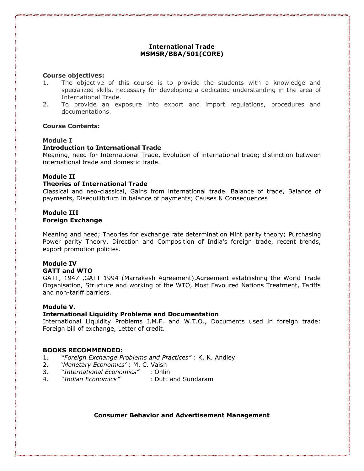# **International Trade MSMSR/BBA/501(CORE)**

#### **Course objectives:**

- 1. The objective of this course is to provide the students with a knowledge and specialized skills, necessary for developing a dedicated understanding in the area of International Trade.
- 2. To provide an exposure into export and import regulations, procedures and documentations.

#### **Course Contents:**

#### **Module I**

#### **Introduction to International Trade**

Meaning, need for International Trade, Evolution of international trade; distinction between international trade and domestic trade.

#### **Module II**

#### **Theories of International Trade**

Classical and neo-classical, Gains from international trade. Balance of trade, Balance of payments, Disequilibrium in balance of payments; Causes & Consequences

#### **Module III Foreign Exchange**

Meaning and need; Theories for exchange rate determination Mint parity theory; Purchasing Power parity Theory. Direction and Composition of India's foreign trade, recent trends, export promotion policies.

#### **Module IV GATT and WTO**

GATT, 1947 ,GATT 1994 (Marrakesh Agreement),Agreement establishing the World Trade Organisation, Structure and working of the WTO, Most Favoured Nations Treatment, Tariffs and non-tariff barriers.

#### **Module V**.

# **International Liquidity Problems and Documentation**

International Liquidity Problems I.M.F. and W.T.O., Documents used in foreign trade: Foreign bill of exchange, Letter of credit.

#### **BOOKS RECOMMENDED:**

- 1. "*Foreign Exchange Problems and Practices"* : K. K. Andley
- 2. '*Monetary Economics'* : M. C. Vaish
- 3. "*International Economics"* : Ohlin
- 4. "*Indian Economics"* : Dutt and Sundaram

# **Consumer Behavior and Advertisement Management**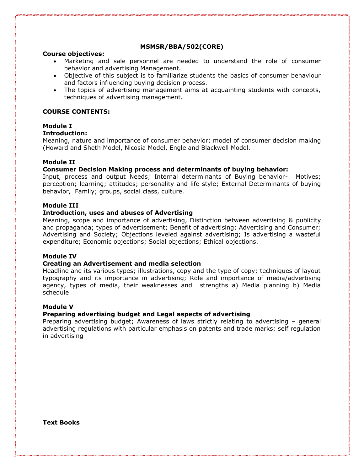# **MSMSR/BBA/502(CORE)**

#### **Course objectives:**

- Marketing and sale personnel are needed to understand the role of consumer behavior and advertising Management.
- Objective of this subject is to familiarize students the basics of consumer behaviour and factors influencing buying decision process.
- The topics of advertising management aims at acquainting students with concepts, techniques of advertising management.

# **COURSE CONTENTS:**

# **Module I**

#### **Introduction:**

Meaning, nature and importance of consumer behavior; model of consumer decision making (Howard and Sheth Model, Nicosia Model, Engle and Blackwell Model.

# **Module II**

#### **Consumer Decision Making process and determinants of buying behavior:**

Input, process and output Needs; Internal determinants of Buying behavior- Motives; perception; learning; attitudes; personality and life style; External Determinants of buying behavior, Family; groups, social class, culture.

#### **Module III**

#### **Introduction, uses and abuses of Advertising**

Meaning, scope and importance of advertising, Distinction between advertising & publicity and propaganda; types of advertisement; Benefit of advertising; Advertising and Consumer; Advertising and Society; Objections leveled against advertising; Is advertising a wasteful expenditure; Economic objections; Social objections; Ethical objections.

#### **Module IV**

#### **Creating an Advertisement and media selection**

Headline and its various types; illustrations, copy and the type of copy; techniques of layout typography and its importance in advertising; Role and importance of media/advertising agency, types of media, their weaknesses and strengths a) Media planning b) Media schedule

#### **Module V**

# **Preparing advertising budget and Legal aspects of advertising**

Preparing advertising budget; Awareness of laws strictly relating to advertising – general advertising regulations with particular emphasis on patents and trade marks; self regulation in advertising

**Text Books**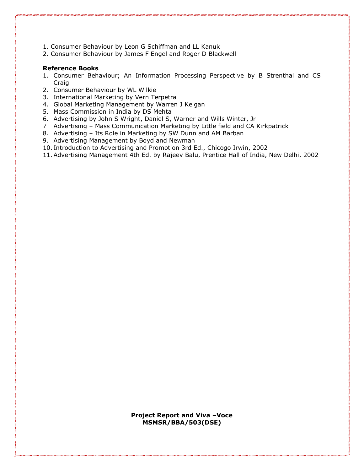- 1. Consumer Behaviour by Leon G Schiffman and LL Kanuk
- 2. Consumer Behaviour by James F Engel and Roger D Blackwell

# **Reference Books**

- 1. Consumer Behaviour; An Information Processing Perspective by B Strenthal and CS Craig
- 2. Consumer Behaviour by WL Wilkie
- 3. International Marketing by Vern Terpetra
- 4. Global Marketing Management by Warren J Kelgan
- 5. Mass Commission in India by DS Mehta
- 6. Advertising by John S Wright, Daniel S, Warner and Wills Winter, Jr
- 7 Advertising Mass Communication Marketing by Little field and CA Kirkpatrick
- 8. Advertising Its Role in Marketing by SW Dunn and AM Barban
- 9. Advertising Management by Boyd and Newman
- 10. Introduction to Advertising and Promotion 3rd Ed., Chicogo Irwin, 2002
- 11.Advertising Management 4th Ed. by Rajeev Balu, Prentice Hall of India, New Delhi, 2002

**Project Report and Viva –Voce MSMSR/BBA/503(DSE)**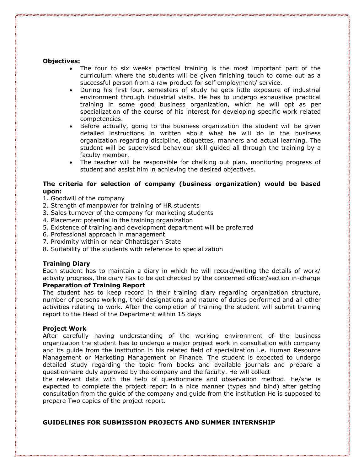#### **Objectives:**

- The four to six weeks practical training is the most important part of the curriculum where the students will be given finishing touch to come out as a successful person from a raw product for self employment/ service.
- During his first four, semesters of study he gets little exposure of industrial environment through industrial visits. He has to undergo exhaustive practical training in some good business organization, which he will opt as per specialization of the course of his interest for developing specific work related competencies.
- Before actually, going to the business organization the student will be given detailed instructions in written about what he will do in the business organization regarding discipline, etiquettes, manners and actual learning. The student will be supervised behaviour skill guided all through the training by a faculty member.
- The teacher will be responsible for chalking out plan, monitoring progress of student and assist him in achieving the desired objectives.

#### **The criteria for selection of company (business organization) would be based upon:**

- 1. Goodwill of the company
- 2. Strength of manpower for training of HR students
- 3. Sales turnover of the company for marketing students
- 4. Placement potential in the training organization
- 5. Existence of training and development department will be preferred
- 6. Professional approach in management
- 7. Proximity within or near Chhattisgarh State
- 8. Suitability of the students with reference to specialization

#### **Training Diary**

Each student has to maintain a diary in which he will record/writing the details of work/ activity progress, the diary has to be got checked by the concerned officer/section in-charge **Preparation of Training Report**

The student has to keep record in their training diary regarding organization structure, number of persons working, their designations and nature of duties performed and all other activities relating to work. After the completion of training the student will submit training report to the Head of the Department within 15 days

#### **Project Work**

After carefully having understanding of the working environment of the business organization the student has to undergo a major project work in consultation with company and its guide from the institution in his related field of specialization i.e. Human Resource Management or Marketing Management or Finance. The student is expected to undergo detailed study regarding the topic from books and available journals and prepare a questionnaire duly approved by the company and the faculty. He will collect

the relevant data with the help of questionnaire and observation method. He/she is expected to complete the project report in a nice manner (types and bind) after getting consultation from the guide of the company and guide from the institution He is supposed to prepare Two copies of the project report.

# **GUIDELINES FOR SUBMISSION PROJECTS AND SUMMER INTERNSHIP**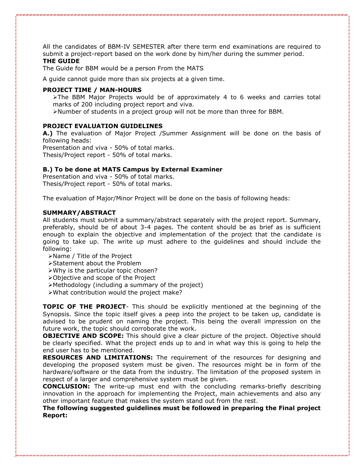All the candidates of BBM-IV SEMESTER after there term end examinations are required to submit a project-report based on the work done by him/her during the summer period. **THE GUIDE** 

The Guide for BBM would be a person From the MATS

A guide cannot guide more than six projects at a given time.

#### **PROJECT TIME / MAN-HOURS**

➢The BBM Major Projects would be of approximately 4 to 6 weeks and carries total marks of 200 including project report and viva.

➢Number of students in a project group will not be more than three for BBM.

#### **PROJECT EVALUATION GUIDELINES**

**A.)** The evaluation of Major Project /Summer Assignment will be done on the basis of following heads:

Presentation and viva - 50% of total marks.

Thesis/Project report - 50% of total marks.

#### **B.) To be done at MATS Campus by External Examiner**

Presentation and viva - 50% of total marks. Thesis/Project report - 50% of total marks.

The evaluation of Major/Minor Project will be done on the basis of following heads:

#### **SUMMARY/ABSTRACT**

All students must submit a summary/abstract separately with the project report. Summary, preferably, should be of about 3-4 pages. The content should be as brief as is sufficient enough to explain the objective and implementation of the project that the candidate is going to take up. The write up must adhere to the guidelines and should include the following:

➢Name / Title of the Project

- ➢Statement about the Problem
- ➢Why is the particular topic chosen?
- ➢Objective and scope of the Project
- ➢Methodology (including a summary of the project)
- ➢What contribution would the project make?

**TOPIC OF THE PROJECT**- This should be explicitly mentioned at the beginning of the Synopsis. Since the topic itself gives a peep into the project to be taken up, candidate is advised to be prudent on naming the project. This being the overall impression on the future work, the topic should corroborate the work.

**OBJECTIVE AND SCOPE:** This should give a clear picture of the project. Objective should be clearly specified. What the project ends up to and in what way this is going to help the end user has to be mentioned.

**RESOURCES AND LIMITATIONS:** The requirement of the resources for designing and developing the proposed system must be given. The resources might be in form of the hardware/software or the data from the industry. The limitation of the proposed system in respect of a larger and comprehensive system must be given.

**CONCLUSION:** The write-up must end with the concluding remarks-briefly describing innovation in the approach for implementing the Project, main achievements and also any other important feature that makes the system stand out from the rest.

**The following suggested guidelines must be followed in preparing the Final project Report:**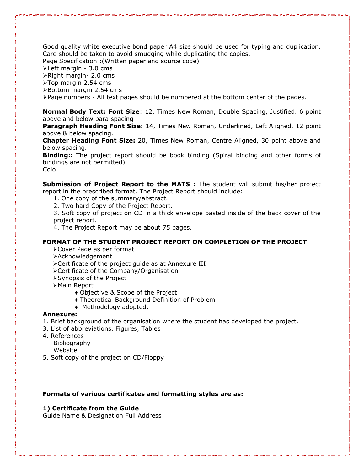Good quality white executive bond paper A4 size should be used for typing and duplication. Care should be taken to avoid smudging while duplicating the copies.

Page Specification :(Written paper and source code)

➢Left margin - 3.0 cms

➢Right margin- 2.0 cms

➢Top margin 2.54 cms

➢Bottom margin 2.54 cms

➢Page numbers - All text pages should be numbered at the bottom center of the pages.

**Normal Body Text: Font Size**: 12, Times New Roman, Double Spacing, Justified. 6 point above and below para spacing

**Paragraph Heading Font Size:** 14, Times New Roman, Underlined, Left Aligned. 12 point above & below spacing.

**Chapter Heading Font Size:** 20, Times New Roman, Centre Aligned, 30 point above and below spacing.

**Binding::** The project report should be book binding (Spiral binding and other forms of bindings are not permitted)

Colo

**Submission of Project Report to the MATS :** The student will submit his/her project report in the prescribed format. The Project Report should include:

- 1. One copy of the summary/abstract.
- 2. Two hard Copy of the Project Report.

3. Soft copy of project on CD in a thick envelope pasted inside of the back cover of the project report.

4. The Project Report may be about 75 pages.

# **FORMAT OF THE STUDENT PROJECT REPORT ON COMPLETION OF THE PROJECT**

- ➢Cover Page as per format
- ➢Acknowledgement
- ➢Certificate of the project guide as at Annexure III
- ➢Certificate of the Company/Organisation
- ➢Synopsis of the Project
- ➢Main Report
	- ♦ Objective & Scope of the Project
	- ♦ Theoretical Background Definition of Problem
	- ♦ Methodology adopted,

#### **Annexure:**

- 1. Brief background of the organisation where the student has developed the project.
- 3. List of abbreviations, Figures, Tables
- 4. References

Bibliography

- Website
- 5. Soft copy of the project on CD/Floppy

#### **Formats of various certificates and formatting styles are as:**

# **1) Certificate from the Guide**

Guide Name & Designation Full Address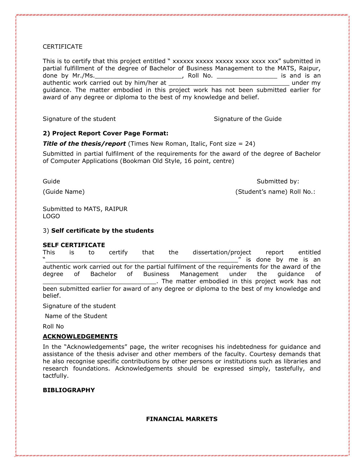# CERTIFICATE

This is to certify that this project entitled " xxxxxx xxxxx xxxxx xxxx xxxx xxx" submitted in partial fulfillment of the degree of Bachelor of Business Management to the MATS, Raipur, done by Mr./Ms. The contract of the contract of the contract of the contract of the contract of the contract of the contract of the contract of the contract of the contract of the contract of the contract of the contract o authentic work carried out by him/her at  $\blacksquare$ guidance. The matter embodied in this project work has not been submitted earlier for award of any degree or diploma to the best of my knowledge and belief.

Signature of the student Signature of the Guide

# **2) Project Report Cover Page Format:**

**Title of the thesis/report** (Times New Roman, Italic, Font size = 24)

Submitted in partial fulfilment of the requirements for the award of the degree of Bachelor of Computer Applications (Bookman Old Style, 16 point, centre)

Guide **Submitted by:** Submitted by: (Guide Name) (Student's name) Roll No.:

Submitted to MATS, RAIPUR LOGO

#### 3) **Self certificate by the students**

#### **SELF CERTIFICATE**

This is to certify that the dissertation/project report entitled " is done by me is an authentic work carried out for the partial fulfilment of the requirements for the award of the degree of Bachelor of Business Management under the guidance of \_\_\_\_\_\_\_\_\_\_\_\_\_\_\_\_\_\_\_\_\_\_\_\_\_\_\_\_\_\_. The matter embodied in this project work has not been submitted earlier for award of any degree or diploma to the best of my knowledge and belief.

Signature of the student

Name of the Student

Roll No

# **ACKNOWLEDGEMENTS**

In the "Acknowledgements" page, the writer recognises his indebtedness for guidance and assistance of the thesis adviser and other members of the faculty. Courtesy demands that he also recognise specific contributions by other persons or institutions such as libraries and research foundations. Acknowledgements should be expressed simply, tastefully, and tactfully.

# **BIBLIOGRAPHY**

# **FINANCIAL MARKETS**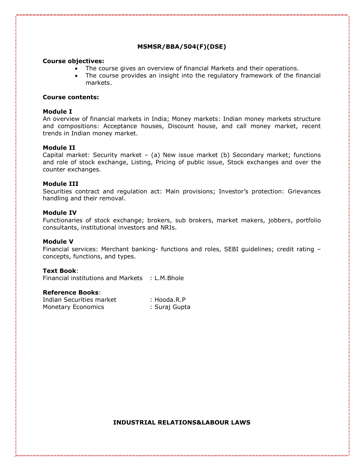# **MSMSR/BBA/504(F)(DSE)**

#### **Course objectives:**

- The course gives an overview of financial Markets and their operations.
- The course provides an insight into the regulatory framework of the financial markets.

#### **Course contents:**

#### **Module I**

An overview of financial markets in India; Money markets: Indian money markets structure and compositions: Acceptance houses, Discount house, and call money market, recent trends in Indian money market.

#### **Module II**

Capital market: Security market – (a) New issue market (b) Secondary market; functions and role of stock exchange, Listing, Pricing of public issue, Stock exchanges and over the counter exchanges.

#### **Module III**

Securities contract and regulation act: Main provisions; Investor's protection: Grievances handling and their removal.

#### **Module IV**

Functionaries of stock exchange; brokers, sub brokers, market makers, jobbers, portfolio consultants, institutional investors and NRIs.

#### **Module V**

Financial services: Merchant banking- functions and roles, SEBI guidelines; credit rating – concepts, functions, and types.

#### **Text Book**:

Financial institutions and Markets : L.M.Bhole

#### **Reference Books**:

| Indian Securities market | : Hooda.R.P   |
|--------------------------|---------------|
| Monetary Economics       | : Suraj Gupta |

#### **INDUSTRIAL RELATIONS&LABOUR LAWS**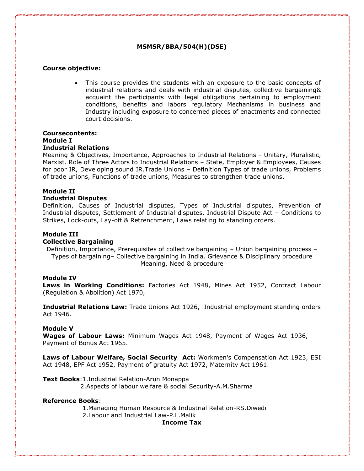# **MSMSR/BBA/504(H)(DSE)**

# **Course objective:**

This course provides the students with an exposure to the basic concepts of industrial relations and deals with industrial disputes, collective bargaining& acquaint the participants with legal obligations pertaining to employment conditions, benefits and labors regulatory Mechanisms in business and Industry including exposure to concerned pieces of enactments and connected court decisions.

#### **Coursecontents: Module I Industrial Relations**

Meaning & Objectives, Importance, Approaches to Industrial Relations - Unitary, Pluralistic, Marxist. Role of Three Actors to Industrial Relations – State, Employer & Employees, Causes for poor IR, Developing sound IR.Trade Unions – Definition Types of trade unions, Problems of trade unions, Functions of trade unions, Measures to strengthen trade unions.

#### **Module II**

#### **Industrial Disputes**

Definition, Causes of Industrial disputes, Types of Industrial disputes, Prevention of Industrial disputes, Settlement of Industrial disputes. Industrial Dispute Act – Conditions to Strikes, Lock-outs, Lay-off & Retrenchment, Laws relating to standing orders.

#### **Module III**

#### **Collective Bargaining**

Definition, Importance, Prerequisites of collective bargaining – Union bargaining process – Types of bargaining– Collective bargaining in India. Grievance & Disciplinary procedure Meaning, Need & procedure

#### **Module IV**

**Laws in Working Conditions:** Factories Act 1948, Mines Act 1952, Contract Labour (Regulation & Abolition) Act 1970,

**Industrial Relations Law:** Trade Unions Act 1926, Industrial employment standing orders Act 1946.

#### **Module V**

**Wages of Labour Laws:** Minimum Wages Act 1948, Payment of Wages Act 1936, Payment of Bonus Act 1965.

**Laws of Labour Welfare, Social Security Act:** Workmen's Compensation Act 1923, ESI Act 1948, EPF Act 1952, Payment of gratuity Act 1972, Maternity Act 1961.

**Text Books**:1.Industrial Relation-Arun Monappa

2.Aspects of labour welfare & social Security-A.M.Sharma

#### **Reference Books**:

 1.Managing Human Resource & Industrial Relation-RS.Diwedi 2.Labour and Industrial Law-P.L.Malik

#### **Income Tax**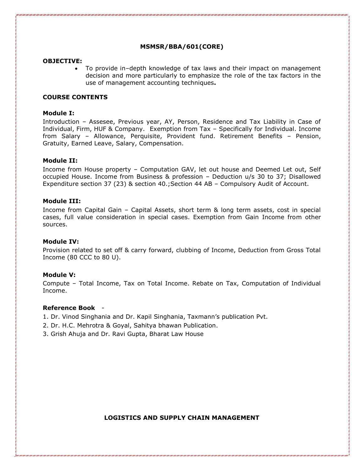# **MSMSR/BBA/601(CORE)**

#### **OBJECTIVE:**

• To provide in–depth knowledge of tax laws and their impact on management decision and more particularly to emphasize the role of the tax factors in the use of management accounting techniques**.**

#### **COURSE CONTENTS**

#### **Module I:**

Introduction – Assesee, Previous year, AY, Person, Residence and Tax Liability in Case of Individual, Firm, HUF & Company. Exemption from Tax – Specifically for Individual. Income from Salary – Allowance, Perquisite, Provident fund. Retirement Benefits – Pension, Gratuity, Earned Leave, Salary, Compensation.

#### **Module II:**

Income from House property – Computation GAV, let out house and Deemed Let out, Self occupied House. Income from Business & profession – Deduction u/s 30 to 37; Disallowed Expenditure section 37 (23) & section 40.;Section 44 AB – Compulsory Audit of Account.

#### **Module III:**

Income from Capital Gain – Capital Assets, short term & long term assets, cost in special cases, full value consideration in special cases. Exemption from Gain Income from other sources.

#### **Module IV:**

Provision related to set off & carry forward, clubbing of Income, Deduction from Gross Total Income (80 CCC to 80 U).

#### **Module V:**

Compute – Total Income, Tax on Total Income. Rebate on Tax, Computation of Individual Income.

#### **Reference Book** -

- 1. Dr. Vinod Singhania and Dr. Kapil Singhania, Taxmann's publication Pvt.
- 2. Dr. H.C. Mehrotra & Goyal, Sahitya bhawan Publication.
- 3. Grish Ahuja and Dr. Ravi Gupta, Bharat Law House

#### **LOGISTICS AND SUPPLY CHAIN MANAGEMENT**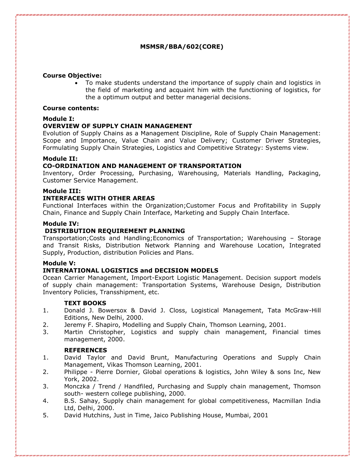# **MSMSR/BBA/602(CORE)**

# **Course Objective:**

• To make students understand the importance of supply chain and logistics in the field of marketing and acquaint him with the functioning of logistics, for the a optimum output and better managerial decisions.

#### **Course contents:**

# **Module I:**

# **OVERVIEW OF SUPPLY CHAIN MANAGEMENT**

Evolution of Supply Chains as a Management Discipline, Role of Supply Chain Management: Scope and Importance, Value Chain and Value Delivery; Customer Driver Strategies, Formulating Supply Chain Strategies, Logistics and Competitive Strategy: Systems view.

# **Module II:**

# **CO-ORDINATION AND MANAGEMENT OF TRANSPORTATION**

Inventory, Order Processing, Purchasing, Warehousing, Materials Handling, Packaging, Customer Service Management.

#### **Module III:**

# **INTERFACES WITH OTHER AREAS**

Functional Interfaces within the Organization;Customer Focus and Profitability in Supply Chain, Finance and Supply Chain Interface, Marketing and Supply Chain Interface.

# **Module IV:**

# **DISTRIBUTION REQUIREMENT PLANNING**

Transportation;Costs and Handling;Economics of Transportation; Warehousing – Storage and Transit Risks, Distribution Network Planning and Warehouse Location, Integrated Supply, Production, distribution Policies and Plans.

#### **Module V:**

.

.

# **INTERNATIONAL LOGISTICS and DECISION MODELS**

Ocean Carrier Management, Import-Export Logistic Management. Decision support models of supply chain management: Transportation Systems, Warehouse Design, Distribution Inventory Policies, Transshipment, etc.

#### **TEXT BOOKS**

- 1. Donald J. Bowersox & David J. Closs, Logistical Management, Tata McGraw-Hill Editions, New Delhi, 2000.
- 2. Jeremy F. Shapiro, Modelling and Supply Chain, Thomson Learning, 2001.
- 3. Martin Christopher, Logistics and supply chain management, Financial times management, 2000.

#### **REFERENCES**

- 1. David Taylor and David Brunt, Manufacturing Operations and Supply Chain Management, Vikas Thomson Learning, 2001.
- 2. Philippe Pierre Dornier, Global operations & logistics, John Wiley & sons Inc, New York, 2002.
- 3. Monczka / Trend / Handfiled, Purchasing and Supply chain management, Thomson south- western college publishing, 2000.
- 4. B.S. Sahay, Supply chain management for global competitiveness, Macmillan India Ltd, Delhi, 2000.
- 5. David Hutchins, Just in Time, Jaico Publishing House, Mumbai, 2001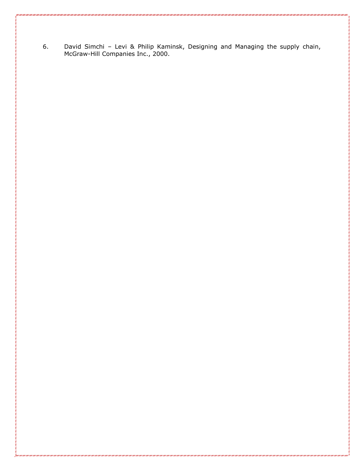6. David Simchi – Levi & Philip Kaminsk, Designing and Managing the supply chain, McGraw-Hill Companies Inc., 2000.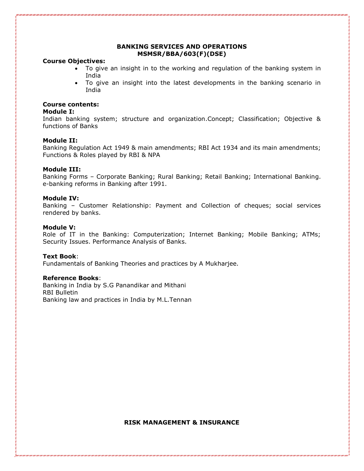# **BANKING SERVICES AND OPERATIONS MSMSR/BBA/603(F)(DSE)**

#### **Course Objectives:**

- To give an insight in to the working and regulation of the banking system in India
- To give an insight into the latest developments in the banking scenario in India

# **Course contents:**

#### **Module I:**

Indian banking system; structure and organization.Concept; Classification; Objective & functions of Banks

#### **Module II:**

Banking Regulation Act 1949 & main amendments; RBI Act 1934 and its main amendments; Functions & Roles played by RBI & NPA

#### **Module III:**

Banking Forms – Corporate Banking; Rural Banking; Retail Banking; International Banking. e-banking reforms in Banking after 1991.

#### **Module IV:**

Banking – Customer Relationship: Payment and Collection of cheques; social services rendered by banks.

#### **Module V:**

Role of IT in the Banking: Computerization; Internet Banking; Mobile Banking; ATMs; Security Issues. Performance Analysis of Banks.

#### **Text Book**:

Fundamentals of Banking Theories and practices by A Mukharjee.

#### **Reference Books**:

Banking in India by S.G Panandikar and Mithani RBI Bulletin Banking law and practices in India by M.L.Tennan

#### **RISK MANAGEMENT & INSURANCE**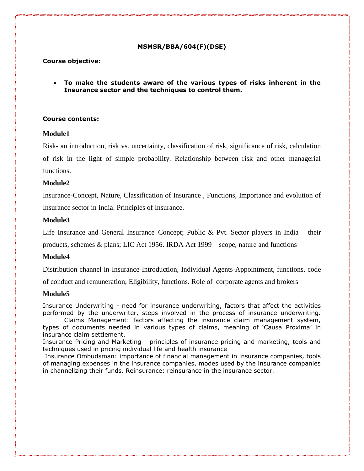#### **MSMSR/BBA/604(F)(DSE)**

# **Course objective:**

• **To make the students aware of the various types of risks inherent in the Insurance sector and the techniques to control them.**

# **Course contents:**

#### **Module1**

Risk- an introduction, risk vs. uncertainty, classification of risk, significance of risk, calculation of risk in the light of simple probability. Relationship between risk and other managerial functions.

# **Module2**

Insurance-Concept, Nature, Classification of Insurance , Functions, Importance and evolution of

Insurance sector in India. Principles of Insurance.

#### **Module3**

Life Insurance and General Insurance–Concept; Public & Pvt. Sector players in India – their

products, schemes & plans; LIC Act 1956. IRDA Act 1999 – scope, nature and functions

#### **Module4**

Distribution channel in Insurance-Introduction, Individual Agents-Appointment, functions, code

of conduct and remuneration; Eligibility, functions. Role of corporate agents and brokers

#### **Module5**

Insurance Underwriting - need for insurance underwriting, factors that affect the activities performed by the underwriter, steps involved in the process of insurance underwriting.

Claims Management: factors affecting the insurance claim management system, types of documents needed in various types of claims, meaning of 'Causa Proxima' in insurance claim settlement.

Insurance Pricing and Marketing - principles of insurance pricing and marketing, tools and techniques used in pricing individual life and health insurance

Insurance Ombudsman: importance of financial management in insurance companies, tools of managing expenses in the insurance companies, modes used by the insurance companies in channelizing their funds. Reinsurance: reinsurance in the insurance sector.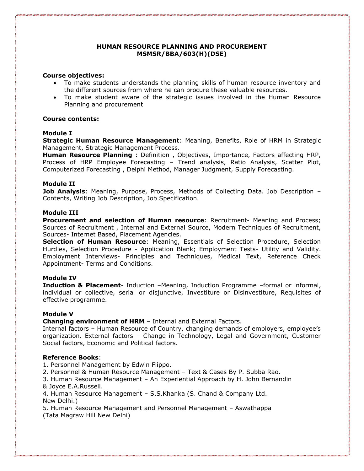# **HUMAN RESOURCE PLANNING AND PROCUREMENT MSMSR/BBA/603(H)(DSE)**

#### **Course objectives:**

- To make students understands the planning skills of human resource inventory and the different sources from where he can procure these valuable resources.
- To make student aware of the strategic issues involved in the Human Resource Planning and procurement

#### **Course contents:**

#### **Module I**

**Strategic Human Resource Management**: Meaning, Benefits, Role of HRM in Strategic Management, Strategic Management Process.

**Human Resource Planning** : Definition , Objectives, Importance, Factors affecting HRP, Process of HRP Employee Forecasting – Trend analysis, Ratio Analysis, Scatter Plot, Computerized Forecasting , Delphi Method, Manager Judgment, Supply Forecasting.

#### **Module II**

**Job Analysis**: Meaning, Purpose, Process, Methods of Collecting Data. Job Description – Contents, Writing Job Description, Job Specification.

#### **Module III**

**Procurement and selection of Human resource: Recruitment- Meaning and Process;** Sources of Recruitment , Internal and External Source, Modern Techniques of Recruitment, Sources- Internet Based, Placement Agencies.

**Selection of Human Resource**: Meaning, Essentials of Selection Procedure, Selection Hurdles, Selection Procedure - Application Blank; Employment Tests- Utility and Validity. Employment Interviews- Principles and Techniques, Medical Text, Reference Check Appointment- Terms and Conditions.

#### **Module IV**

**Induction & Placement**- Induction –Meaning, Induction Programme –formal or informal, individual or collective, serial or disjunctive, Investiture or Disinvestiture, Requisites of effective programme.

#### **Module V**

**Changing environment of HRM** – Internal and External Factors.

Internal factors – Human Resource of Country, changing demands of employers, employee's organization. External factors – Change in Technology, Legal and Government, Customer Social factors, Economic and Political factors.

#### **Reference Books**:

- 1. Personnel Management by Edwin Flippo.
- 2. Personnel & Human Resource Management Text & Cases By P. Subba Rao.
- 3. Human Resource Management An Experiential Approach by H. John Bernandin & Joyce E.A.Russell.
- 4. Human Resource Management S.S.Khanka (S. Chand & Company Ltd. New Delhi.)

5. Human Resource Management and Personnel Management – Aswathappa (Tata Magraw Hill New Delhi)